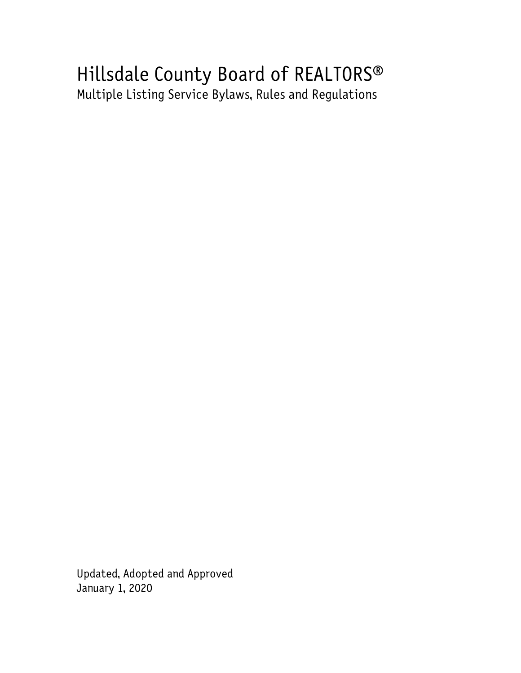# Hillsdale County Board of REALTORS® Multiple Listing Service Bylaws, Rules and Regulations

Updated, Adopted and Approved January 1, 2020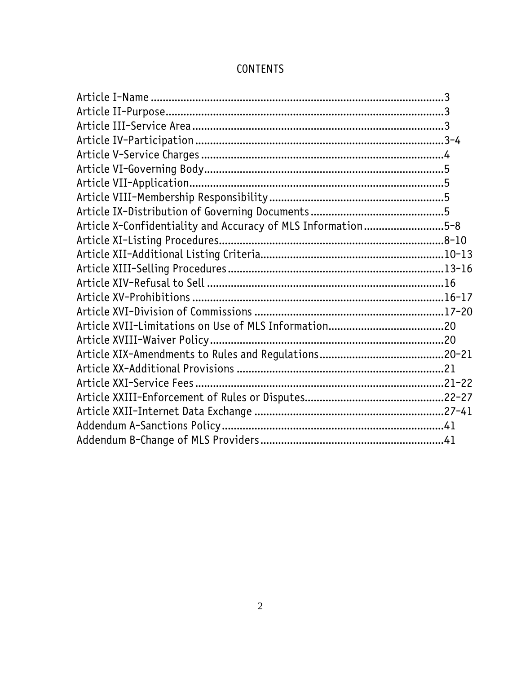| Article X-Confidentiality and Accuracy of MLS Information5-8 |  |
|--------------------------------------------------------------|--|
| Article XI-Listing Procedures                                |  |
|                                                              |  |
|                                                              |  |
|                                                              |  |
|                                                              |  |
|                                                              |  |
|                                                              |  |
|                                                              |  |
|                                                              |  |
|                                                              |  |
|                                                              |  |
|                                                              |  |
|                                                              |  |
|                                                              |  |
|                                                              |  |

# CONTENTS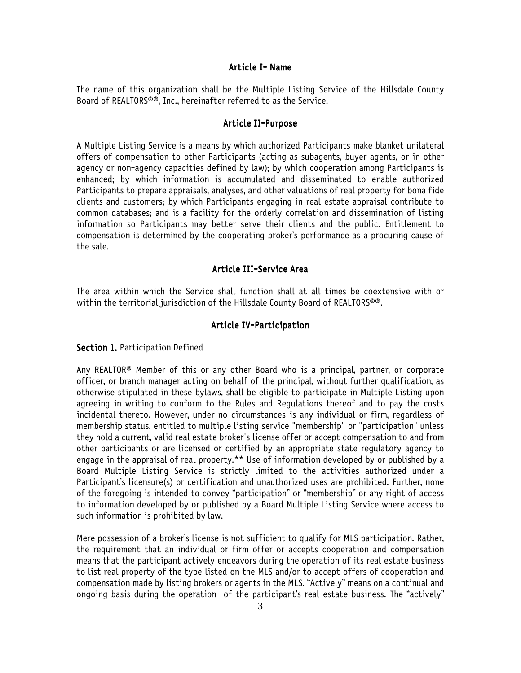#### Article I- Name

The name of this organization shall be the Multiple Listing Service of the Hillsdale County Board of REALTORS®®, Inc., hereinafter referred to as the Service.

#### Article II-Purpose

A Multiple Listing Service is a means by which authorized Participants make blanket unilateral offers of compensation to other Participants (acting as subagents, buyer agents, or in other agency or non-agency capacities defined by law); by which cooperation among Participants is enhanced; by which information is accumulated and disseminated to enable authorized Participants to prepare appraisals, analyses, and other valuations of real property for bona fide clients and customers; by which Participants engaging in real estate appraisal contribute to common databases; and is a facility for the orderly correlation and dissemination of listing information so Participants may better serve their clients and the public. Entitlement to compensation is determined by the cooperating broker's performance as a procuring cause of the sale.

#### Article III-Service Area

The area within which the Service shall function shall at all times be coextensive with or within the territorial jurisdiction of the Hillsdale County Board of REALTORS®®.

#### Article IV-Participation

#### Section 1. Participation Defined

Any REALTOR® Member of this or any other Board who is a principal, partner, or corporate officer, or branch manager acting on behalf of the principal, without further qualification, as otherwise stipulated in these bylaws, shall be eligible to participate in Multiple Listing upon agreeing in writing to conform to the Rules and Regulations thereof and to pay the costs incidental thereto. However, under no circumstances is any individual or firm, regardless of membership status, entitled to multiple listing service "membership" or "participation" unless they hold a current, valid real estate broker's license offer or accept compensation to and from other participants or are licensed or certified by an appropriate state regulatory agency to engage in the appraisal of real property.\*\* Use of information developed by or published by a Board Multiple Listing Service is strictly limited to the activities authorized under a Participant's licensure(s) or certification and unauthorized uses are prohibited. Further, none of the foregoing is intended to convey "participation" or "membership" or any right of access to information developed by or published by a Board Multiple Listing Service where access to such information is prohibited by law.

Mere possession of a broker's license is not sufficient to qualify for MLS participation. Rather, the requirement that an individual or firm offer or accepts cooperation and compensation means that the participant actively endeavors during the operation of its real estate business to list real property of the type listed on the MLS and/or to accept offers of cooperation and compensation made by listing brokers or agents in the MLS. "Actively" means on a continual and ongoing basis during the operation of the participant's real estate business. The "actively"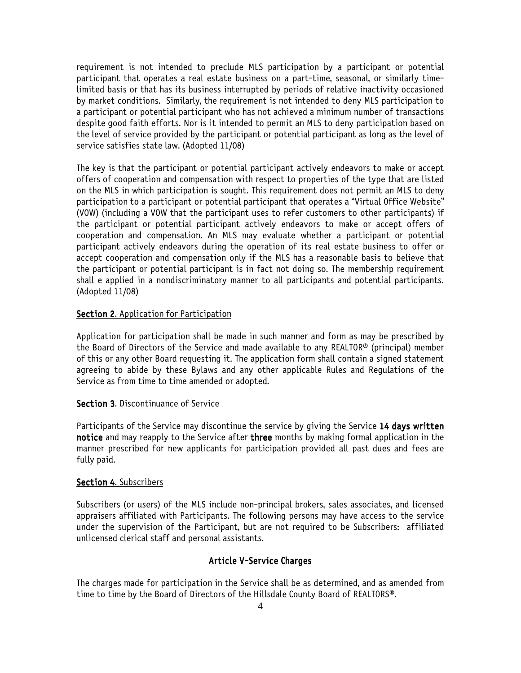requirement is not intended to preclude MLS participation by a participant or potential participant that operates a real estate business on a part-time, seasonal, or similarly timelimited basis or that has its business interrupted by periods of relative inactivity occasioned by market conditions. Similarly, the requirement is not intended to deny MLS participation to a participant or potential participant who has not achieved a minimum number of transactions despite good faith efforts. Nor is it intended to permit an MLS to deny participation based on the level of service provided by the participant or potential participant as long as the level of service satisfies state law. (Adopted 11/08)

The key is that the participant or potential participant actively endeavors to make or accept offers of cooperation and compensation with respect to properties of the type that are listed on the MLS in which participation is sought. This requirement does not permit an MLS to deny participation to a participant or potential participant that operates a "Virtual Office Website" (VOW) (including a VOW that the participant uses to refer customers to other participants) if the participant or potential participant actively endeavors to make or accept offers of cooperation and compensation. An MLS may evaluate whether a participant or potential participant actively endeavors during the operation of its real estate business to offer or accept cooperation and compensation only if the MLS has a reasonable basis to believe that the participant or potential participant is in fact not doing so. The membership requirement shall e applied in a nondiscriminatory manner to all participants and potential participants. (Adopted 11/08)

#### Section 2. Application for Participation

Application for participation shall be made in such manner and form as may be prescribed by the Board of Directors of the Service and made available to any REALTOR® (principal) member of this or any other Board requesting it. The application form shall contain a signed statement agreeing to abide by these Bylaws and any other applicable Rules and Regulations of the Service as from time to time amended or adopted.

#### Section 3. Discontinuance of Service

Participants of the Service may discontinue the service by giving the Service 14 days written notice and may reapply to the Service after three months by making formal application in the manner prescribed for new applicants for participation provided all past dues and fees are fully paid.

# Section 4. Subscribers

Subscribers (or users) of the MLS include non-principal brokers, sales associates, and licensed appraisers affiliated with Participants. The following persons may have access to the service under the supervision of the Participant, but are not required to be Subscribers: affiliated unlicensed clerical staff and personal assistants.

#### Article V-Service Charges

The charges made for participation in the Service shall be as determined, and as amended from time to time by the Board of Directors of the Hillsdale County Board of REALTORS®.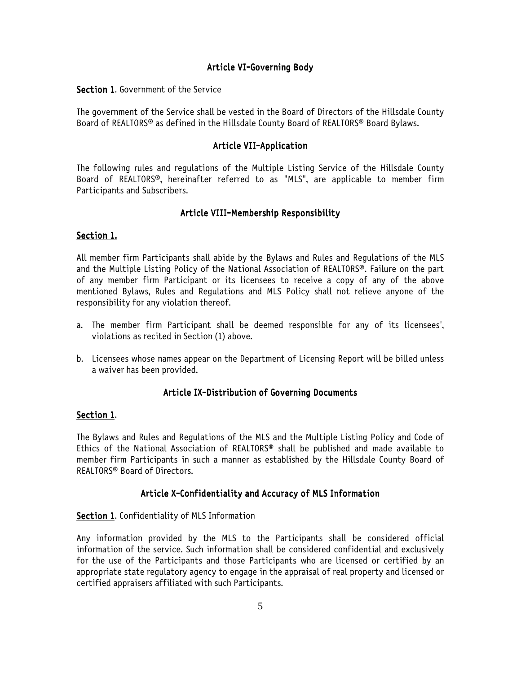### Article VI-Governing Body

#### Section 1. Government of the Service

The government of the Service shall be vested in the Board of Directors of the Hillsdale County Board of REALTORS® as defined in the Hillsdale County Board of REALTORS® Board Bylaws.

### Article VII-Application

The following rules and regulations of the Multiple Listing Service of the Hillsdale County Board of REALTORS®, hereinafter referred to as "MLS", are applicable to member firm Participants and Subscribers.

#### Article VIII-Membership Responsibility

### Section 1.

All member firm Participants shall abide by the Bylaws and Rules and Regulations of the MLS and the Multiple Listing Policy of the National Association of REALTORS®. Failure on the part of any member firm Participant or its licensees to receive a copy of any of the above mentioned Bylaws, Rules and Regulations and MLS Policy shall not relieve anyone of the responsibility for any violation thereof.

- a. The member firm Participant shall be deemed responsible for any of its licensees', violations as recited in Section (1) above.
- b. Licensees whose names appear on the Department of Licensing Report will be billed unless a waiver has been provided.

#### Article IX-Distribution of Governing Documents

#### Section 1.

The Bylaws and Rules and Regulations of the MLS and the Multiple Listing Policy and Code of Ethics of the National Association of REALTORS® shall be published and made available to member firm Participants in such a manner as established by the Hillsdale County Board of REALTORS® Board of Directors.

### Article X-Confidentiality and Accuracy of MLS Information

#### Section 1. Confidentiality of MLS Information

Any information provided by the MLS to the Participants shall be considered official information of the service. Such information shall be considered confidential and exclusively for the use of the Participants and those Participants who are licensed or certified by an appropriate state regulatory agency to engage in the appraisal of real property and licensed or certified appraisers affiliated with such Participants.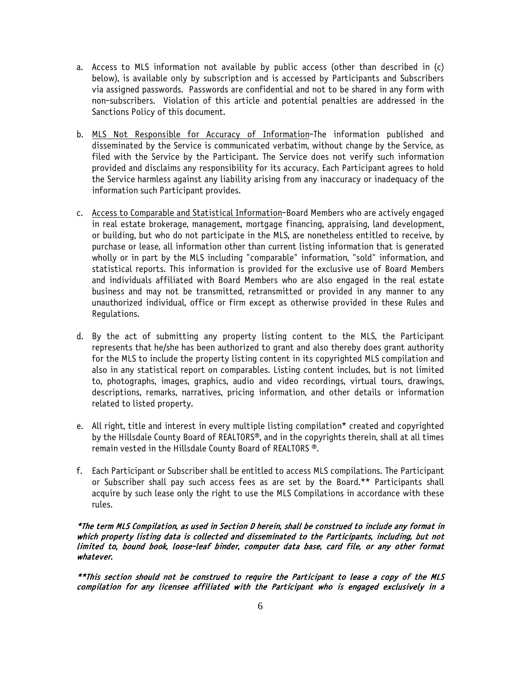- a. Access to MLS information not available by public access (other than described in (c) below), is available only by subscription and is accessed by Participants and Subscribers via assigned passwords. Passwords are confidential and not to be shared in any form with non-subscribers. Violation of this article and potential penalties are addressed in the Sanctions Policy of this document.
- b. MLS Not Responsible for Accuracy of Information-The information published and disseminated by the Service is communicated verbatim, without change by the Service, as filed with the Service by the Participant. The Service does not verify such information provided and disclaims any responsibility for its accuracy. Each Participant agrees to hold the Service harmless against any liability arising from any inaccuracy or inadequacy of the information such Participant provides.
- c. Access to Comparable and Statistical Information-Board Members who are actively engaged in real estate brokerage, management, mortgage financing, appraising, land development, or building, but who do not participate in the MLS, are nonetheless entitled to receive, by purchase or lease, all information other than current listing information that is generated wholly or in part by the MLS including "comparable" information, "sold" information, and statistical reports. This information is provided for the exclusive use of Board Members and individuals affiliated with Board Members who are also engaged in the real estate business and may not be transmitted, retransmitted or provided in any manner to any unauthorized individual, office or firm except as otherwise provided in these Rules and Regulations.
- d. By the act of submitting any property listing content to the MLS, the Participant represents that he/she has been authorized to grant and also thereby does grant authority for the MLS to include the property listing content in its copyrighted MLS compilation and also in any statistical report on comparables. Listing content includes, but is not limited to, photographs, images, graphics, audio and video recordings, virtual tours, drawings, descriptions, remarks, narratives, pricing information, and other details or information related to listed property.
- e. All right, title and interest in every multiple listing compilation\* created and copyrighted by the Hillsdale County Board of REALTORS®, and in the copyrights therein, shall at all times remain vested in the Hillsdale County Board of REALTORS ®.
- f. Each Participant or Subscriber shall be entitled to access MLS compilations. The Participant or Subscriber shall pay such access fees as are set by the Board.\*\* Participants shall acquire by such lease only the right to use the MLS Compilations in accordance with these rules.

\*The term MLS Compilation, as used in Section D herein, shall be construed to include any format in which property listing data is collected and disseminated to the Participants, including, but not limited to, bound book, loose-leaf binder, computer data base, card file, or any other format whatever.

\*\*This section should not be construed to require the Participant to lease a copy of the MLS compilation for any licensee affiliated with the Participant who is engaged exclusively in a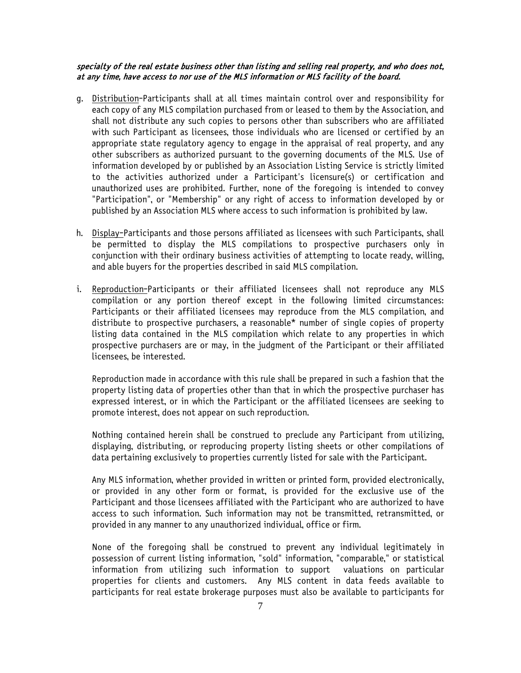#### specialty of the real estate business other than listing and selling real property, and who does not, at any time, have access to nor use of the MLS information or MLS facility of the board.

- g. Distribution-Participants shall at all times maintain control over and responsibility for each copy of any MLS compilation purchased from or leased to them by the Association, and shall not distribute any such copies to persons other than subscribers who are affiliated with such Participant as licensees, those individuals who are licensed or certified by an appropriate state regulatory agency to engage in the appraisal of real property, and any other subscribers as authorized pursuant to the governing documents of the MLS. Use of information developed by or published by an Association Listing Service is strictly limited to the activities authorized under a Participant's licensure(s) or certification and unauthorized uses are prohibited. Further, none of the foregoing is intended to convey "Participation", or "Membership" or any right of access to information developed by or published by an Association MLS where access to such information is prohibited by law.
- h. Display-Participants and those persons affiliated as licensees with such Participants, shall be permitted to display the MLS compilations to prospective purchasers only in conjunction with their ordinary business activities of attempting to locate ready, willing, and able buyers for the properties described in said MLS compilation.
- i. Reproduction-Participants or their affiliated licensees shall not reproduce any MLS compilation or any portion thereof except in the following limited circumstances: Participants or their affiliated licensees may reproduce from the MLS compilation, and distribute to prospective purchasers, a reasonable\* number of single copies of property listing data contained in the MLS compilation which relate to any properties in which prospective purchasers are or may, in the judgment of the Participant or their affiliated licensees, be interested.

Reproduction made in accordance with this rule shall be prepared in such a fashion that the property listing data of properties other than that in which the prospective purchaser has expressed interest, or in which the Participant or the affiliated licensees are seeking to promote interest, does not appear on such reproduction.

Nothing contained herein shall be construed to preclude any Participant from utilizing, displaying, distributing, or reproducing property listing sheets or other compilations of data pertaining exclusively to properties currently listed for sale with the Participant.

Any MLS information, whether provided in written or printed form, provided electronically, or provided in any other form or format, is provided for the exclusive use of the Participant and those licensees affiliated with the Participant who are authorized to have access to such information. Such information may not be transmitted, retransmitted, or provided in any manner to any unauthorized individual, office or firm.

None of the foregoing shall be construed to prevent any individual legitimately in possession of current listing information, "sold" information, "comparable," or statistical information from utilizing such information to support valuations on particular properties for clients and customers. Any MLS content in data feeds available to participants for real estate brokerage purposes must also be available to participants for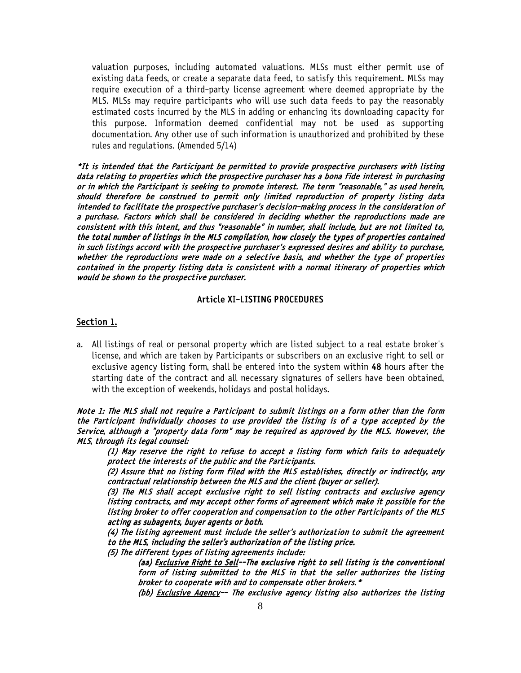valuation purposes, including automated valuations. MLSs must either permit use of existing data feeds, or create a separate data feed, to satisfy this requirement. MLSs may require execution of a third-party license agreement where deemed appropriate by the MLS. MLSs may require participants who will use such data feeds to pay the reasonably estimated costs incurred by the MLS in adding or enhancing its downloading capacity for this purpose. Information deemed confidential may not be used as supporting documentation. Any other use of such information is unauthorized and prohibited by these rules and regulations. (Amended 5/14)

\*It is intended that the Participant be permitted to provide prospective purchasers with listing data relating to properties which the prospective purchaser has a bona fide interest in purchasing or in which the Participant is seeking to promote interest. The term "reasonable," as used herein, should therefore be construed to permit only limited reproduction of property listing data intended to facilitate the prospective purchaser's decision-making process in the consideration of a purchase. Factors which shall be considered in deciding whether the reproductions made are consistent with this intent, and thus "reasonable" in number, shall include, but are not limited to, the total number of listings in the MLS compilation, how closely the types of properties contained in such listings accord with the prospective purchaser's expressed desires and ability to purchase, whether the reproductions were made on a selective basis, and whether the type of properties contained in the property listing data is consistent with a normal itinerary of properties which would be shown to the prospective purchaser.

#### Article XI-LISTING PROCEDURES

#### Section 1.

a. All listings of real or personal property which are listed subject to a real estate broker's license, and which are taken by Participants or subscribers on an exclusive right to sell or exclusive agency listing form, shall be entered into the system within 48 hours after the starting date of the contract and all necessary signatures of sellers have been obtained, with the exception of weekends, holidays and postal holidays.

Note 1: The MLS shall not require a Participant to submit listings on a form other than the form the Participant individually chooses to use provided the listing is of a type accepted by the Service, although a "property data form" may be required as approved by the MLS. However, the MLS, through its legal counsel:

(1) May reserve the right to refuse to accept a listing form which fails to adequately protect the interests of the public and the Participants.

(2) Assure that no listing form filed with the MLS establishes, directly or indirectly, any contractual relationship between the MLS and the client (buyer or seller).

(3) The MLS shall accept exclusive right to sell listing contracts and exclusive agency listing contracts, and may accept other forms of agreement which make it possible for the listing broker to offer cooperation and compensation to the other Participants of the MLS acting as subagents, buyer agents or both.

(4) The listing agreement must include the seller's authorization to submit the agreement to the MLS, including the seller's authorization of the listing price.

(5) The different types of listing agreements include:

(aa) Exclusive Right to Sell--The exclusive right to sell listing is the conventional form of listing submitted to the MLS in that the seller authorizes the listing broker to cooperate with and to compensate other brokers.\*

(bb) Exclusive Agency-- The exclusive agency listing also authorizes the listing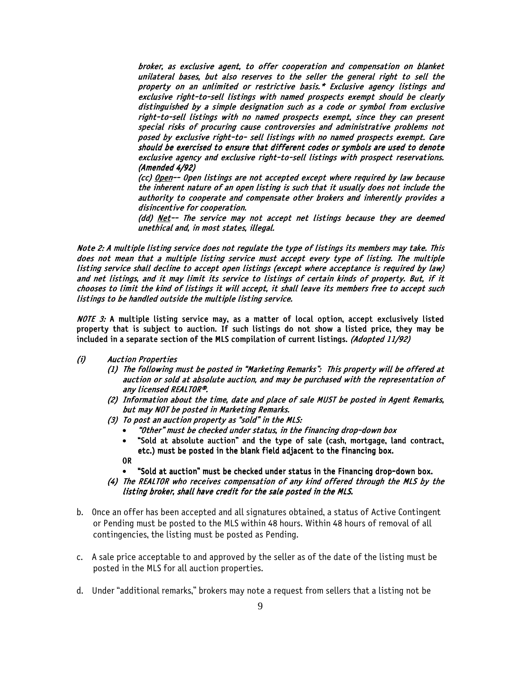broker, as exclusive agent, to offer cooperation and compensation on blanket unilateral bases, but also reserves to the seller the general right to sell the property on an unlimited or restrictive basis.\* Exclusive agency listings and exclusive right-to-sell listings with named prospects exempt should be clearly distinguished by a simple designation such as a code or symbol from exclusive right-to-sell listings with no named prospects exempt, since they can present special risks of procuring cause controversies and administrative problems not posed by exclusive right-to- sell listings with no named prospects exempt. Care should be exercised to ensure that different codes or symbols are used to denote exclusive agency and exclusive right-to-sell listings with prospect reservations. (Amended 4/92)

(cc) Open-- Open listings are not accepted except where required by law because the inherent nature of an open listing is such that it usually does not include the authority to cooperate and compensate other brokers and inherently provides a disincentive for cooperation.

(dd) Net $-$ - The service may not accept net listings because they are deemed unethical and, in most states, illegal.

Note 2: A multiple listing service does not regulate the type of listings its members may take. This does not mean that a multiple listing service must accept every type of listing. The multiple listing service shall decline to accept open listings (except where acceptance is required by law) and net listings, and it may limit its service to listings of certain kinds of property. But, if it chooses to limit the kind of listings it will accept, it shall leave its members free to accept such listings to be handled outside the multiple listing service.

NOTE 3: A multiple listing service may, as a matter of local option, accept exclusively listed property that is subject to auction. If such listings do not show a listed price, they may be included in a separate section of the MLS compilation of current listings. (Adopted 11/92)

- (i) Auction Properties
	- (1) The following must be posted in "Marketing Remarks": This property will be offered at auction or sold at absolute auction, and may be purchased with the representation of any licensed REALTOR®.
	- (2) Information about the time, date and place of sale MUST be posted in Agent Remarks, but may NOT be posted in Marketing Remarks.
	- (3) To post an auction property as "sold" in the MLS:
		- "Other" must be checked under status, in the financing drop-down box
		- "Sold at absolute auction" and the type of sale (cash, mortgage, land contract, etc.) must be posted in the blank field adjacent to the financing box.

OR

- "Sold at auction" must be checked under status in the Financing drop-down box.
- (4) The REALTOR who receives compensation of any kind offered through the MLS by the listing broker, shall have credit for the sale posted in the MLS.
- b. Once an offer has been accepted and all signatures obtained, a status of Active Contingent or Pending must be posted to the MLS within 48 hours. Within 48 hours of removal of all contingencies, the listing must be posted as Pending.
- c. A sale price acceptable to and approved by the seller as of the date of the listing must be posted in the MLS for all auction properties.
- d. Under "additional remarks," brokers may note a request from sellers that a listing not be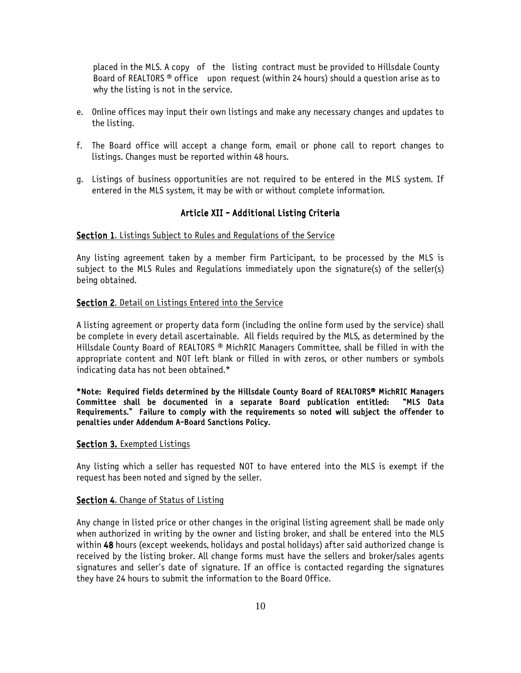placed in the MLS. A copy of the listing contract must be provided to Hillsdale County Board of REALTORS ® office upon request (within 24 hours) should a question arise as to why the listing is not in the service.

- e. Online offices may input their own listings and make any necessary changes and updates to the listing.
- f. The Board office will accept a change form, email or phone call to report changes to listings. Changes must be reported within 48 hours.
- g. Listings of business opportunities are not required to be entered in the MLS system. If entered in the MLS system, it may be with or without complete information.

#### Article XII - Additional Listing Criteria

#### **Section 1.** Listings Subject to Rules and Regulations of the Service

Any listing agreement taken by a member firm Participant, to be processed by the MLS is subject to the MLS Rules and Regulations immediately upon the signature(s) of the seller(s) being obtained.

#### Section 2. Detail on Listings Entered into the Service

A listing agreement or property data form (including the online form used by the service) shall be complete in every detail ascertainable. All fields required by the MLS, as determined by the Hillsdale County Board of REALTORS ® MichRIC Managers Committee, shall be filled in with the appropriate content and NOT left blank or filled in with zeros, or other numbers or symbols indicating data has not been obtained.\*

\*Note: Required fields determined by the Hillsdale County Board of REALTORS® MichRIC Managers Committee shall be documented in a separate Board publication entitled: "MLS Data Requirements." Failure to comply with the requirements so noted will subject the offender to penalties under Addendum A-Board Sanctions Policy.

#### Section 3. Exempted Listings

Any listing which a seller has requested NOT to have entered into the MLS is exempt if the request has been noted and signed by the seller.

#### Section 4. Change of Status of Listing

Any change in listed price or other changes in the original listing agreement shall be made only when authorized in writing by the owner and listing broker, and shall be entered into the MLS within 48 hours (except weekends, holidays and postal holidays) after said authorized change is received by the listing broker. All change forms must have the sellers and broker/sales agents signatures and seller's date of signature. If an office is contacted regarding the signatures they have 24 hours to submit the information to the Board Office.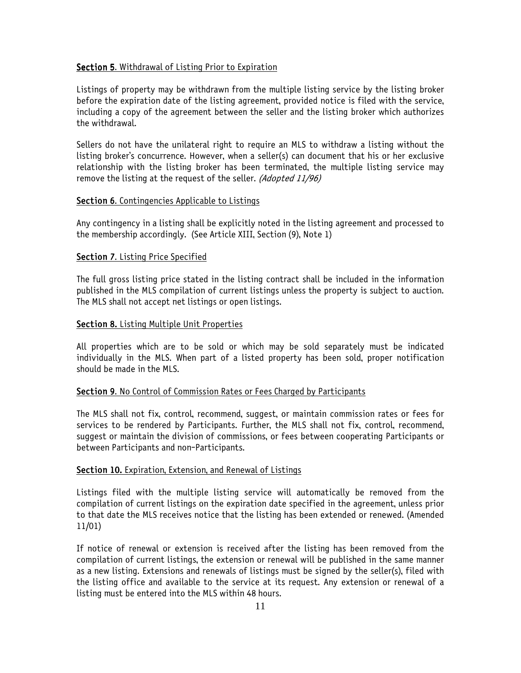#### Section 5. Withdrawal of Listing Prior to Expiration

Listings of property may be withdrawn from the multiple listing service by the listing broker before the expiration date of the listing agreement, provided notice is filed with the service, including a copy of the agreement between the seller and the listing broker which authorizes the withdrawal.

Sellers do not have the unilateral right to require an MLS to withdraw a listing without the listing broker's concurrence. However, when a seller(s) can document that his or her exclusive relationship with the listing broker has been terminated, the multiple listing service may remove the listing at the request of the seller. (Adopted 11/96)

#### Section 6. Contingencies Applicable to Listings

Any contingency in a listing shall be explicitly noted in the listing agreement and processed to the membership accordingly. (See Article XIII, Section (9), Note 1)

#### Section 7. Listing Price Specified

The full gross listing price stated in the listing contract shall be included in the information published in the MLS compilation of current listings unless the property is subject to auction. The MLS shall not accept net listings or open listings.

#### Section 8. Listing Multiple Unit Properties

All properties which are to be sold or which may be sold separately must be indicated individually in the MLS. When part of a listed property has been sold, proper notification should be made in the MLS.

#### Section 9. No Control of Commission Rates or Fees Charged by Participants

The MLS shall not fix, control, recommend, suggest, or maintain commission rates or fees for services to be rendered by Participants. Further, the MLS shall not fix, control, recommend, suggest or maintain the division of commissions, or fees between cooperating Participants or between Participants and non-Participants.

#### Section 10. Expiration, Extension, and Renewal of Listings

Listings filed with the multiple listing service will automatically be removed from the compilation of current listings on the expiration date specified in the agreement, unless prior to that date the MLS receives notice that the listing has been extended or renewed. (Amended 11/01)

If notice of renewal or extension is received after the listing has been removed from the compilation of current listings, the extension or renewal will be published in the same manner as a new listing. Extensions and renewals of listings must be signed by the seller(s), filed with the listing office and available to the service at its request. Any extension or renewal of a listing must be entered into the MLS within 48 hours.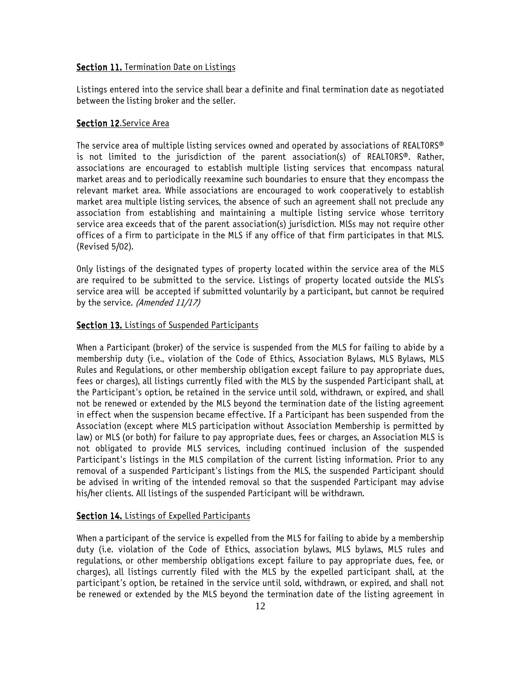#### Section 11. Termination Date on Listings

Listings entered into the service shall bear a definite and final termination date as negotiated between the listing broker and the seller.

### Section 12.Service Area

The service area of multiple listing services owned and operated by associations of REALTORS® is not limited to the jurisdiction of the parent association(s) of REALTORS®. Rather, associations are encouraged to establish multiple listing services that encompass natural market areas and to periodically reexamine such boundaries to ensure that they encompass the relevant market area. While associations are encouraged to work cooperatively to establish market area multiple listing services, the absence of such an agreement shall not preclude any association from establishing and maintaining a multiple listing service whose territory service area exceeds that of the parent association(s) jurisdiction. MlSs may not require other offices of a firm to participate in the MLS if any office of that firm participates in that MLS. (Revised 5/02).

Only listings of the designated types of property located within the service area of the MLS are required to be submitted to the service. Listings of property located outside the MLS's service area will be accepted if submitted voluntarily by a participant, but cannot be required by the service. (Amended 11/17)

#### Section 13. Listings of Suspended Participants

When a Participant (broker) of the service is suspended from the MLS for failing to abide by a membership duty (i.e., violation of the Code of Ethics, Association Bylaws, MLS Bylaws, MLS Rules and Regulations, or other membership obligation except failure to pay appropriate dues, fees or charges), all listings currently filed with the MLS by the suspended Participant shall, at the Participant's option, be retained in the service until sold, withdrawn, or expired, and shall not be renewed or extended by the MLS beyond the termination date of the listing agreement in effect when the suspension became effective. If a Participant has been suspended from the Association (except where MLS participation without Association Membership is permitted by law) or MLS (or both) for failure to pay appropriate dues, fees or charges, an Association MLS is not obligated to provide MLS services, including continued inclusion of the suspended Participant's listings in the MLS compilation of the current listing information. Prior to any removal of a suspended Participant's listings from the MLS, the suspended Participant should be advised in writing of the intended removal so that the suspended Participant may advise his/her clients. All listings of the suspended Participant will be withdrawn.

### Section 14. Listings of Expelled Participants

When a participant of the service is expelled from the MLS for failing to abide by a membership duty (i.e. violation of the Code of Ethics, association bylaws, MLS bylaws, MLS rules and regulations, or other membership obligations except failure to pay appropriate dues, fee, or charges), all listings currently filed with the MLS by the expelled participant shall, at the participant's option, be retained in the service until sold, withdrawn, or expired, and shall not be renewed or extended by the MLS beyond the termination date of the listing agreement in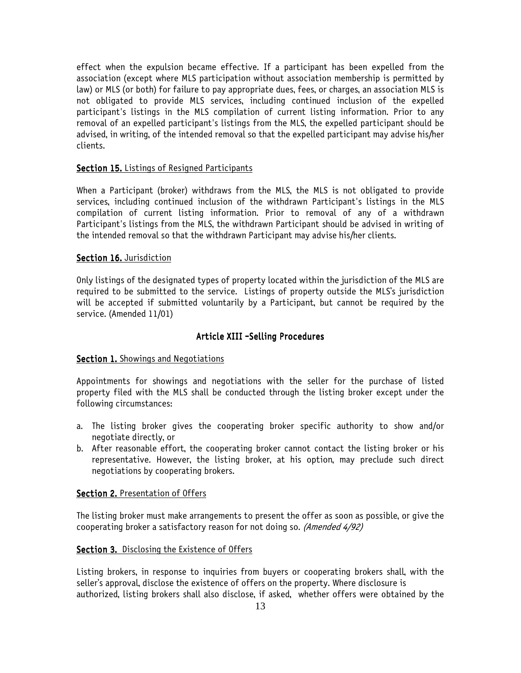effect when the expulsion became effective. If a participant has been expelled from the association (except where MLS participation without association membership is permitted by law) or MLS (or both) for failure to pay appropriate dues, fees, or charges, an association MLS is not obligated to provide MLS services, including continued inclusion of the expelled participant's listings in the MLS compilation of current listing information. Prior to any removal of an expelled participant's listings from the MLS, the expelled participant should be advised, in writing, of the intended removal so that the expelled participant may advise his/her clients.

#### Section 15. Listings of Resigned Participants

When a Participant (broker) withdraws from the MLS, the MLS is not obligated to provide services, including continued inclusion of the withdrawn Participant's listings in the MLS compilation of current listing information. Prior to removal of any of a withdrawn Participant's listings from the MLS, the withdrawn Participant should be advised in writing of the intended removal so that the withdrawn Participant may advise his/her clients.

#### Section 16. Jurisdiction

Only listings of the designated types of property located within the jurisdiction of the MLS are required to be submitted to the service. Listings of property outside the MLS's jurisdiction will be accepted if submitted voluntarily by a Participant, but cannot be required by the service. (Amended 11/01)

#### Article XIII -Selling Procedures

#### Section 1. Showings and Negotiations

Appointments for showings and negotiations with the seller for the purchase of listed property filed with the MLS shall be conducted through the listing broker except under the following circumstances:

- a. The listing broker gives the cooperating broker specific authority to show and/or negotiate directly, or
- b. After reasonable effort, the cooperating broker cannot contact the listing broker or his representative. However, the listing broker, at his option, may preclude such direct negotiations by cooperating brokers.

#### Section 2. Presentation of Offers

The listing broker must make arrangements to present the offer as soon as possible, or give the cooperating broker a satisfactory reason for not doing so. (Amended 4/92)

#### Section 3. Disclosing the Existence of Offers

Listing brokers, in response to inquiries from buyers or cooperating brokers shall, with the seller's approval, disclose the existence of offers on the property. Where disclosure is authorized, listing brokers shall also disclose, if asked, whether offers were obtained by the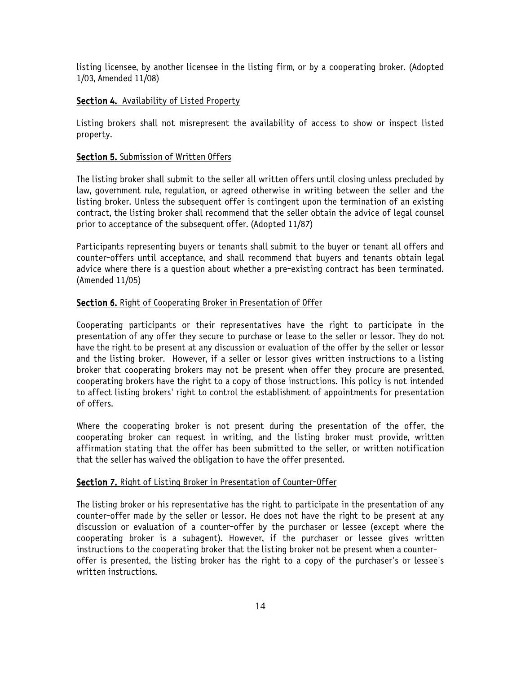listing licensee, by another licensee in the listing firm, or by a cooperating broker. (Adopted 1/03, Amended 11/08)

#### Section 4. Availability of Listed Property

Listing brokers shall not misrepresent the availability of access to show or inspect listed property.

#### Section 5. Submission of Written Offers

The listing broker shall submit to the seller all written offers until closing unless precluded by law, government rule, regulation, or agreed otherwise in writing between the seller and the listing broker. Unless the subsequent offer is contingent upon the termination of an existing contract, the listing broker shall recommend that the seller obtain the advice of legal counsel prior to acceptance of the subsequent offer. (Adopted 11/87)

Participants representing buyers or tenants shall submit to the buyer or tenant all offers and counter-offers until acceptance, and shall recommend that buyers and tenants obtain legal advice where there is a question about whether a pre-existing contract has been terminated. (Amended 11/05)

#### Section 6. Right of Cooperating Broker in Presentation of Offer

Cooperating participants or their representatives have the right to participate in the presentation of any offer they secure to purchase or lease to the seller or lessor. They do not have the right to be present at any discussion or evaluation of the offer by the seller or lessor and the listing broker. However, if a seller or lessor gives written instructions to a listing broker that cooperating brokers may not be present when offer they procure are presented, cooperating brokers have the right to a copy of those instructions. This policy is not intended to affect listing brokers' right to control the establishment of appointments for presentation of offers.

Where the cooperating broker is not present during the presentation of the offer, the cooperating broker can request in writing, and the listing broker must provide, written affirmation stating that the offer has been submitted to the seller, or written notification that the seller has waived the obligation to have the offer presented.

#### Section 7. Right of Listing Broker in Presentation of Counter-Offer

The listing broker or his representative has the right to participate in the presentation of any counter-offer made by the seller or lessor. He does not have the right to be present at any discussion or evaluation of a counter-offer by the purchaser or lessee (except where the cooperating broker is a subagent). However, if the purchaser or lessee gives written instructions to the cooperating broker that the listing broker not be present when a counteroffer is presented, the listing broker has the right to a copy of the purchaser's or lessee's written instructions.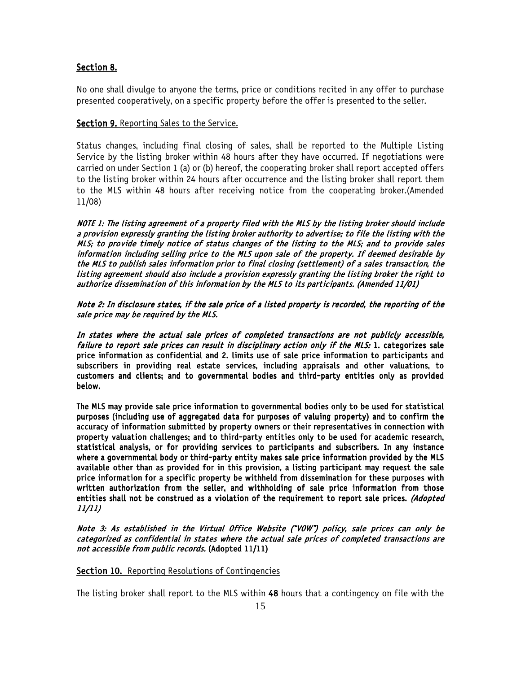#### Section 8.

No one shall divulge to anyone the terms, price or conditions recited in any offer to purchase presented cooperatively, on a specific property before the offer is presented to the seller.

#### Section 9. Reporting Sales to the Service.

Status changes, including final closing of sales, shall be reported to the Multiple Listing Service by the listing broker within 48 hours after they have occurred. If negotiations were carried on under Section 1 (a) or (b) hereof, the cooperating broker shall report accepted offers to the listing broker within 24 hours after occurrence and the listing broker shall report them to the MLS within 48 hours after receiving notice from the cooperating broker.(Amended 11/08)

NOTE 1: The listing agreement of a property filed with the MLS by the listing broker should include a provision expressly granting the listing broker authority to advertise; to file the listing with the MLS; to provide timely notice of status changes of the listing to the MLS; and to provide sales information including selling price to the MLS upon sale of the property. If deemed desirable by the MLS to publish sales information prior to final closing (settlement) of a sales transaction, the listing agreement should also include a provision expressly granting the listing broker the right to authorize dissemination of this information by the MLS to its participants. (Amended 11/01)

Note 2: In disclosure states, if the sale price of a listed property is recorded, the reporting of the sale price may be required by the MLS.

In states where the actual sale prices of completed transactions are not publicly accessible, failure to report sale prices can result in disciplinary action only if the MLS: 1. categorizes sale price information as confidential and 2. limits use of sale price information to participants and subscribers in providing real estate services, including appraisals and other valuations, to customers and clients; and to governmental bodies and third-party entities only as provided below.

The MLS may provide sale price information to governmental bodies only to be used for statistical purposes (including use of aggregated data for purposes of valuing property) and to confirm the accuracy of information submitted by property owners or their representatives in connection with property valuation challenges; and to third-party entities only to be used for academic research, statistical analysis, or for providing services to participants and subscribers. In any instance where a governmental body or third-party entity makes sale price information provided by the MLS available other than as provided for in this provision, a listing participant may request the sale price information for a specific property be withheld from dissemination for these purposes with written authorization from the seller, and withholding of sale price information from those entities shall not be construed as a violation of the requirement to report sale prices. (Adopted 11/11)

Note 3: As established in the Virtual Office Website ("VOW") policy, sale prices can only be categorized as confidential in states where the actual sale prices of completed transactions are not accessible from public records. (Adopted 11/11)

#### Section 10. Reporting Resolutions of Contingencies

The listing broker shall report to the MLS within 48 hours that a contingency on file with the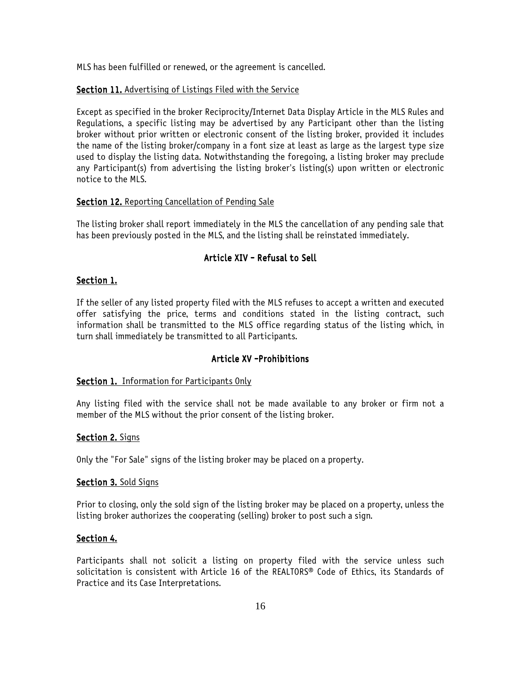MLS has been fulfilled or renewed, or the agreement is cancelled.

#### Section 11. Advertising of Listings Filed with the Service

Except as specified in the broker Reciprocity/Internet Data Display Article in the MLS Rules and Regulations, a specific listing may be advertised by any Participant other than the listing broker without prior written or electronic consent of the listing broker, provided it includes the name of the listing broker/company in a font size at least as large as the largest type size used to display the listing data. Notwithstanding the foregoing, a listing broker may preclude any Participant(s) from advertising the listing broker's listing(s) upon written or electronic notice to the MLS.

#### Section 12. Reporting Cancellation of Pending Sale

The listing broker shall report immediately in the MLS the cancellation of any pending sale that has been previously posted in the MLS, and the listing shall be reinstated immediately.

# Article XIV - Refusal to Sell

#### Section 1.

If the seller of any listed property filed with the MLS refuses to accept a written and executed offer satisfying the price, terms and conditions stated in the listing contract, such information shall be transmitted to the MLS office regarding status of the listing which, in turn shall immediately be transmitted to all Participants.

#### Article XV -Prohibitions

#### Section 1. Information for Participants Only

Any listing filed with the service shall not be made available to any broker or firm not a member of the MLS without the prior consent of the listing broker.

#### Section 2. Signs

Only the "For Sale" signs of the listing broker may be placed on a property.

#### Section 3. Sold Signs

Prior to closing, only the sold sign of the listing broker may be placed on a property, unless the listing broker authorizes the cooperating (selling) broker to post such a sign.

#### Section 4.

Participants shall not solicit a listing on property filed with the service unless such solicitation is consistent with Article 16 of the REALTORS® Code of Ethics, its Standards of Practice and its Case Interpretations.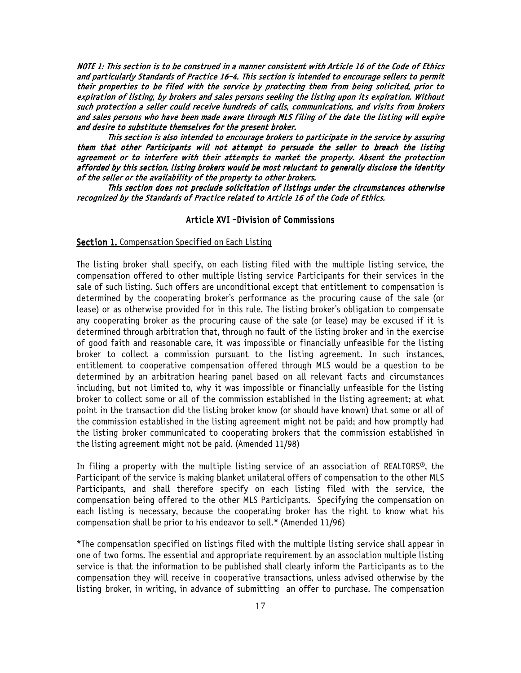NOTE 1: This section is to be construed in a manner consistent with Article 16 of the Code of Ethics and particularly Standards of Practice 16-4. This section is intended to encourage sellers to permit their properties to be filed with the service by protecting them from being solicited, prior to expiration of listing, by brokers and sales persons seeking the listing upon its expiration. Without such protection a seller could receive hundreds of calls, communications, and visits from brokers and sales persons who have been made aware through MLS filing of the date the listing will expire and desire to substitute themselves for the present broker.

This section is also intended to encourage brokers to participate in the service by assuring them that other Participants will not attempt to persuade the seller to breach the listing agreement or to interfere with their attempts to market the property. Absent the protection afforded by this section, listing brokers would be most reluctant to generally disclose the identity of the seller or the availability of the property to other brokers.

This section does not preclude solicitation of listings under the circumstances otherwise recognized by the Standards of Practice related to Article 16 of the Code of Ethics.

#### Article XVI -Division of Commissions

#### Section 1. Compensation Specified on Each Listing

The listing broker shall specify, on each listing filed with the multiple listing service, the compensation offered to other multiple listing service Participants for their services in the sale of such listing. Such offers are unconditional except that entitlement to compensation is determined by the cooperating broker's performance as the procuring cause of the sale (or lease) or as otherwise provided for in this rule. The listing broker's obligation to compensate any cooperating broker as the procuring cause of the sale (or lease) may be excused if it is determined through arbitration that, through no fault of the listing broker and in the exercise of good faith and reasonable care, it was impossible or financially unfeasible for the listing broker to collect a commission pursuant to the listing agreement. In such instances, entitlement to cooperative compensation offered through MLS would be a question to be determined by an arbitration hearing panel based on all relevant facts and circumstances including, but not limited to, why it was impossible or financially unfeasible for the listing broker to collect some or all of the commission established in the listing agreement; at what point in the transaction did the listing broker know (or should have known) that some or all of the commission established in the listing agreement might not be paid; and how promptly had the listing broker communicated to cooperating brokers that the commission established in the listing agreement might not be paid. (Amended 11/98)

In filing a property with the multiple listing service of an association of REALTORS®, the Participant of the service is making blanket unilateral offers of compensation to the other MLS Participants, and shall therefore specify on each listing filed with the service, the compensation being offered to the other MLS Participants. Specifying the compensation on each listing is necessary, because the cooperating broker has the right to know what his compensation shall be prior to his endeavor to sell.\* (Amended 11/96)

\*The compensation specified on listings filed with the multiple listing service shall appear in one of two forms. The essential and appropriate requirement by an association multiple listing service is that the information to be published shall clearly inform the Participants as to the compensation they will receive in cooperative transactions, unless advised otherwise by the listing broker, in writing, in advance of submitting an offer to purchase. The compensation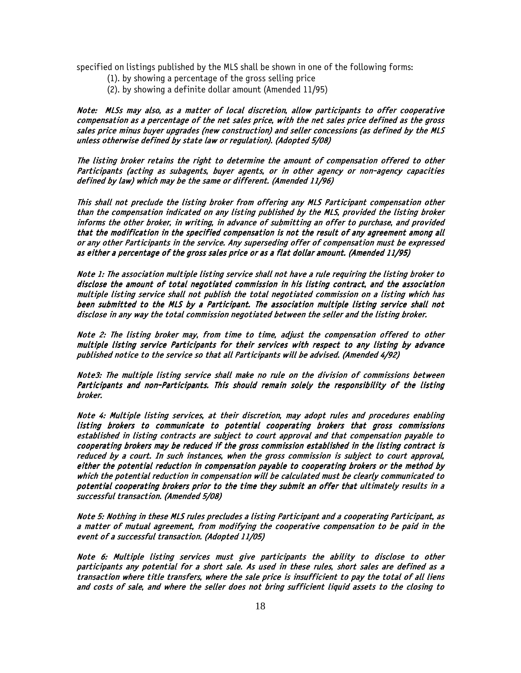specified on listings published by the MLS shall be shown in one of the following forms:

- (1). by showing a percentage of the gross selling price
- (2). by showing a definite dollar amount (Amended 11/95)

Note: MLSs may also, as a matter of local discretion, allow participants to offer cooperative compensation as a percentage of the net sales price, with the net sales price defined as the gross sales price minus buyer upgrades (new construction) and seller concessions (as defined by the MLS unless otherwise defined by state law or regulation). (Adopted 5/08)

The listing broker retains the right to determine the amount of compensation offered to other Participants (acting as subagents, buyer agents, or in other agency or non-agency capacities defined by law) which may be the same or different. (Amended 11/96)

This shall not preclude the listing broker from offering any MLS Participant compensation other than the compensation indicated on any listing published by the MLS, provided the listing broker informs the other broker, in writing, in advance of submitting an offer to purchase, and provided that the modification in the specified compensation is not the result of any agreement among all or any other Participants in the service. Any superseding offer of compensation must be expressed as either a percentage of the gross sales price or as a flat dollar amount. (Amended 11/95)

Note 1: The association multiple listing service shall not have a rule requiring the listing broker to disclose the amount of total negotiated commission in his listing contract, and the association multiple listing service shall not publish the total negotiated commission on a listing which has been submitted to the MLS by a Participant. The association multiple listing service shall not disclose in any way the total commission negotiated between the seller and the listing broker.

Note 2: The listing broker may, from time to time, adjust the compensation offered to other multiple listing service Participants for their services with respect to any listing by advance published notice to the service so that all Participants will be advised. (Amended 4/92)

Note3: The multiple listing service shall make no rule on the division of commissions between Participants and non-Participants. This should remain solely the responsibility of the listing broker.

Note 4: Multiple listing services, at their discretion, may adopt rules and procedures enabling listing brokers to communicate to potential cooperating brokers that gross commissions established in listing contracts are subject to court approval and that compensation payable to cooperating brokers may be reduced if the gross commission established in the listing contract is reduced by a court. In such instances, when the gross commission is subject to court approval, either the potential reduction in compensation payable to cooperating brokers or the method by which the potential reduction in compensation will be calculated must be clearly communicated to potential cooperating brokers prior to the time they submit an offer that ultimately results in a successful transaction. (Amended 5/08)

Note 5: Nothing in these MLS rules precludes a listing Participant and a cooperating Participant, as a matter of mutual agreement, from modifying the cooperative compensation to be paid in the event of a successful transaction. (Adopted 11/05)

Note 6: Multiple listing services must give participants the ability to disclose to other participants any potential for a short sale. As used in these rules, short sales are defined as a transaction where title transfers, where the sale price is insufficient to pay the total of all liens and costs of sale, and where the seller does not bring sufficient liquid assets to the closing to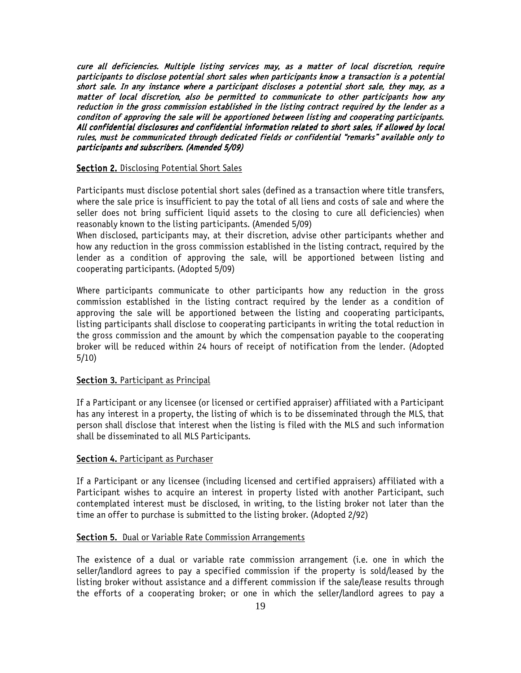cure all deficiencies. Multiple listing services may, as a matter of local discretion, require participants to disclose potential short sales when participants know a transaction is a potential short sale. In any instance where a participant discloses a potential short sale, they may, as a matter of local discretion, also be permitted to communicate to other participants how any reduction in the gross commission established in the listing contract required by the lender as a conditon of approving the sale will be apportioned between listing and cooperating participants. All confidential disclosures and confidential information related to short sales, if allowed by local rules, must be communicated through dedicated fields or confidential "remarks" available only to participants and subscribers. (Amended 5/09)

#### **Section 2.** Disclosing Potential Short Sales

Participants must disclose potential short sales (defined as a transaction where title transfers, where the sale price is insufficient to pay the total of all liens and costs of sale and where the seller does not bring sufficient liquid assets to the closing to cure all deficiencies) when reasonably known to the listing participants. (Amended 5/09)

When disclosed, participants may, at their discretion, advise other participants whether and how any reduction in the gross commission established in the listing contract, required by the lender as a condition of approving the sale, will be apportioned between listing and cooperating participants. (Adopted 5/09)

Where participants communicate to other participants how any reduction in the gross commission established in the listing contract required by the lender as a condition of approving the sale will be apportioned between the listing and cooperating participants, listing participants shall disclose to cooperating participants in writing the total reduction in the gross commission and the amount by which the compensation payable to the cooperating broker will be reduced within 24 hours of receipt of notification from the lender. (Adopted 5/10)

#### Section 3. Participant as Principal

If a Participant or any licensee (or licensed or certified appraiser) affiliated with a Participant has any interest in a property, the listing of which is to be disseminated through the MLS, that person shall disclose that interest when the listing is filed with the MLS and such information shall be disseminated to all MLS Participants.

#### Section 4. Participant as Purchaser

If a Participant or any licensee (including licensed and certified appraisers) affiliated with a Participant wishes to acquire an interest in property listed with another Participant, such contemplated interest must be disclosed, in writing, to the listing broker not later than the time an offer to purchase is submitted to the listing broker. (Adopted 2/92)

#### Section 5. Dual or Variable Rate Commission Arrangements

The existence of a dual or variable rate commission arrangement (i.e. one in which the seller/landlord agrees to pay a specified commission if the property is sold/leased by the listing broker without assistance and a different commission if the sale/lease results through the efforts of a cooperating broker; or one in which the seller/landlord agrees to pay a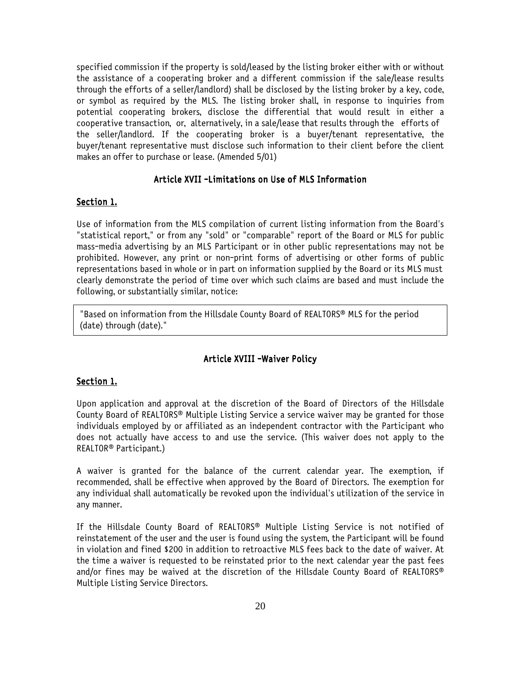specified commission if the property is sold/leased by the listing broker either with or without the assistance of a cooperating broker and a different commission if the sale/lease results through the efforts of a seller/landlord) shall be disclosed by the listing broker by a key, code, or symbol as required by the MLS. The listing broker shall, in response to inquiries from potential cooperating brokers, disclose the differential that would result in either a cooperative transaction, or, alternatively, in a sale/lease that results through the efforts of the seller/landlord. If the cooperating broker is a buyer/tenant representative, the buyer/tenant representative must disclose such information to their client before the client makes an offer to purchase or lease. (Amended 5/01)

#### Article XVII -Limitations on Use of MLS Information

#### Section 1.

Use of information from the MLS compilation of current listing information from the Board's "statistical report," or from any "sold" or "comparable" report of the Board or MLS for public mass-media advertising by an MLS Participant or in other public representations may not be prohibited. However, any print or non-print forms of advertising or other forms of public representations based in whole or in part on information supplied by the Board or its MLS must clearly demonstrate the period of time over which such claims are based and must include the following, or substantially similar, notice:

"Based on information from the Hillsdale County Board of REALTORS® MLS for the period (date) through (date)."

#### Article XVIII -Waiver Policy

#### Section 1.

Upon application and approval at the discretion of the Board of Directors of the Hillsdale County Board of REALTORS® Multiple Listing Service a service waiver may be granted for those individuals employed by or affiliated as an independent contractor with the Participant who does not actually have access to and use the service. (This waiver does not apply to the REALTOR® Participant.)

A waiver is granted for the balance of the current calendar year. The exemption, if recommended, shall be effective when approved by the Board of Directors. The exemption for any individual shall automatically be revoked upon the individual's utilization of the service in any manner.

If the Hillsdale County Board of REALTORS® Multiple Listing Service is not notified of reinstatement of the user and the user is found using the system, the Participant will be found in violation and fined \$200 in addition to retroactive MLS fees back to the date of waiver. At the time a waiver is requested to be reinstated prior to the next calendar year the past fees and/or fines may be waived at the discretion of the Hillsdale County Board of REALTORS® Multiple Listing Service Directors.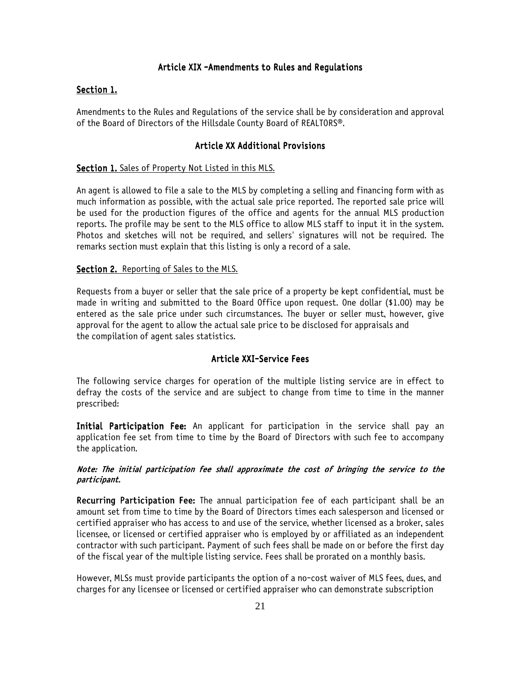#### Article XIX -Amendments to Rules and Regulations

#### Section 1.

Amendments to the Rules and Regulations of the service shall be by consideration and approval of the Board of Directors of the Hillsdale County Board of REALTORS®.

#### Article XX Additional Provisions

#### Section 1. Sales of Property Not Listed in this MLS.

An agent is allowed to file a sale to the MLS by completing a selling and financing form with as much information as possible, with the actual sale price reported. The reported sale price will be used for the production figures of the office and agents for the annual MLS production reports. The profile may be sent to the MLS office to allow MLS staff to input it in the system. Photos and sketches will not be required, and sellers' signatures will not be required. The remarks section must explain that this listing is only a record of a sale.

#### Section 2. Reporting of Sales to the MLS.

Requests from a buyer or seller that the sale price of a property be kept confidential, must be made in writing and submitted to the Board Office upon request. One dollar (\$1.00) may be entered as the sale price under such circumstances. The buyer or seller must, however, give approval for the agent to allow the actual sale price to be disclosed for appraisals and the compilation of agent sales statistics.

#### Article XXI-Service Fees

The following service charges for operation of the multiple listing service are in effect to defray the costs of the service and are subject to change from time to time in the manner prescribed:

Initial Participation Fee: An applicant for participation in the service shall pay an application fee set from time to time by the Board of Directors with such fee to accompany the application.

#### Note: The initial participation fee shall approximate the cost of bringing the service to the participant.

Recurring Participation Fee: The annual participation fee of each participant shall be an amount set from time to time by the Board of Directors times each salesperson and licensed or certified appraiser who has access to and use of the service, whether licensed as a broker, sales licensee, or licensed or certified appraiser who is employed by or affiliated as an independent contractor with such participant. Payment of such fees shall be made on or before the first day of the fiscal year of the multiple listing service. Fees shall be prorated on a monthly basis.

However, MLSs must provide participants the option of a no-cost waiver of MLS fees, dues, and charges for any licensee or licensed or certified appraiser who can demonstrate subscription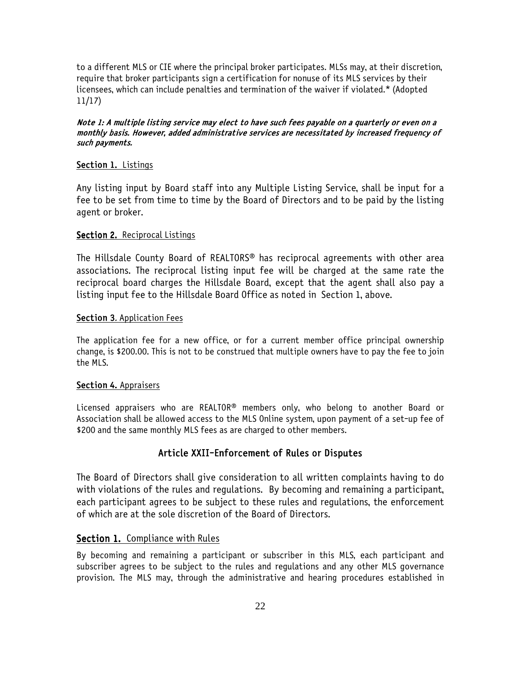to a different MLS or CIE where the principal broker participates. MLSs may, at their discretion, require that broker participants sign a certification for nonuse of its MLS services by their licensees, which can include penalties and termination of the waiver if violated.\* (Adopted 11/17)

#### Note 1: A multiple listing service may elect to have such fees payable on a quarterly or even on a monthly basis. However, added administrative services are necessitated by increased frequency of such payments.

#### Section 1. Listings

Any listing input by Board staff into any Multiple Listing Service, shall be input for a fee to be set from time to time by the Board of Directors and to be paid by the listing agent or broker.

#### Section 2. Reciprocal Listings

The Hillsdale County Board of REALTORS® has reciprocal agreements with other area associations. The reciprocal listing input fee will be charged at the same rate the reciprocal board charges the Hillsdale Board, except that the agent shall also pay a listing input fee to the Hillsdale Board Office as noted in Section 1, above.

#### Section 3. Application Fees

The application fee for a new office, or for a current member office principal ownership change, is \$200.00. This is not to be construed that multiple owners have to pay the fee to join the MLS.

#### Section 4. Appraisers

Licensed appraisers who are REALTOR<sup>®</sup> members only, who belong to another Board or Association shall be allowed access to the MLS Online system, upon payment of a set-up fee of \$200 and the same monthly MLS fees as are charged to other members.

### Article XXII-Enforcement of Rules or Disputes

The Board of Directors shall give consideration to all written complaints having to do with violations of the rules and regulations. By becoming and remaining a participant, each participant agrees to be subject to these rules and regulations, the enforcement of which are at the sole discretion of the Board of Directors.

### Section 1. Compliance with Rules

By becoming and remaining a participant or subscriber in this MLS, each participant and subscriber agrees to be subject to the rules and regulations and any other MLS governance provision. The MLS may, through the administrative and hearing procedures established in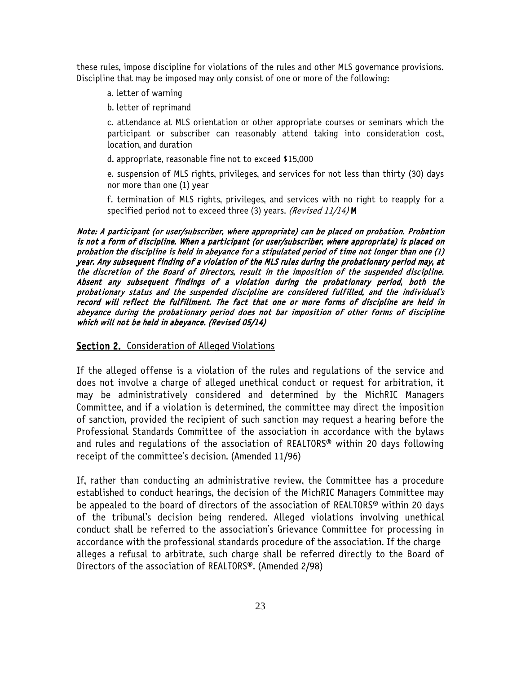these rules, impose discipline for violations of the rules and other MLS governance provisions. Discipline that may be imposed may only consist of one or more of the following:

- a. letter of warning
- b. letter of reprimand

c. attendance at MLS orientation or other appropriate courses or seminars which the participant or subscriber can reasonably attend taking into consideration cost, location, and duration

d. appropriate, reasonable fine not to exceed \$15,000

e. suspension of MLS rights, privileges, and services for not less than thirty (30) days nor more than one (1) year

f. termination of MLS rights, privileges, and services with no right to reapply for a specified period not to exceed three (3) years. (Revised 11/14) M

Note: A participant (or user/subscriber, where appropriate) can be placed on probation. Probation is not a form of discipline. When a participant (or user/subscriber, where appropriate) is placed on probation the discipline is held in abeyance for a stipulated period of time not longer than one (1) year. Any subsequent finding of a violation of the MLS rules during the probationary period may, at the discretion of the Board of Directors, result in the imposition of the suspended discipline. Absent any subsequent findings of a violation during the probationary period, both the probationary status and the suspended discipline are considered fulfilled, and the individual's record will reflect the fulfillment. The fact that one or more forms of discipline are held in abeyance during the probationary period does not bar imposition of other forms of discipline which will not be held in abeyance. (Revised 05/14)

Section 2. Consideration of Alleged Violations

If the alleged offense is a violation of the rules and regulations of the service and does not involve a charge of alleged unethical conduct or request for arbitration, it may be administratively considered and determined by the MichRIC Managers Committee, and if a violation is determined, the committee may direct the imposition of sanction, provided the recipient of such sanction may request a hearing before the Professional Standards Committee of the association in accordance with the bylaws and rules and regulations of the association of REALTORS® within 20 days following receipt of the committee's decision. (Amended 11/96)

If, rather than conducting an administrative review, the Committee has a procedure established to conduct hearings, the decision of the MichRIC Managers Committee may be appealed to the board of directors of the association of REALTORS® within 20 days of the tribunal's decision being rendered. Alleged violations involving unethical conduct shall be referred to the association's Grievance Committee for processing in accordance with the professional standards procedure of the association. If the charge alleges a refusal to arbitrate, such charge shall be referred directly to the Board of Directors of the association of REALTORS®. (Amended 2/98)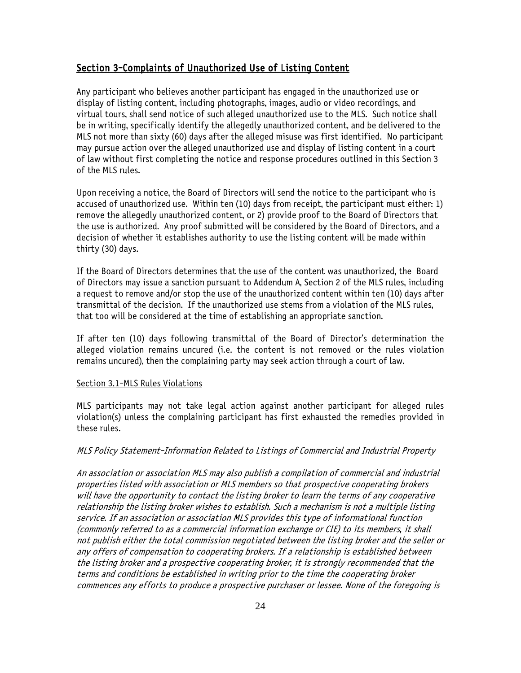#### Section 3-Complaints of Unauthorized Use of Listing Content

Any participant who believes another participant has engaged in the unauthorized use or display of listing content, including photographs, images, audio or video recordings, and virtual tours, shall send notice of such alleged unauthorized use to the MLS. Such notice shall be in writing, specifically identify the allegedly unauthorized content, and be delivered to the MLS not more than sixty (60) days after the alleged misuse was first identified. No participant may pursue action over the alleged unauthorized use and display of listing content in a court of law without first completing the notice and response procedures outlined in this Section 3 of the MLS rules.

Upon receiving a notice, the Board of Directors will send the notice to the participant who is accused of unauthorized use. Within ten (10) days from receipt, the participant must either: 1) remove the allegedly unauthorized content, or 2) provide proof to the Board of Directors that the use is authorized. Any proof submitted will be considered by the Board of Directors, and a decision of whether it establishes authority to use the listing content will be made within thirty (30) days.

If the Board of Directors determines that the use of the content was unauthorized, the Board of Directors may issue a sanction pursuant to Addendum A, Section 2 of the MLS rules, including a request to remove and/or stop the use of the unauthorized content within ten (10) days after transmittal of the decision. If the unauthorized use stems from a violation of the MLS rules, that too will be considered at the time of establishing an appropriate sanction.

If after ten (10) days following transmittal of the Board of Director's determination the alleged violation remains uncured (i.e. the content is not removed or the rules violation remains uncured), then the complaining party may seek action through a court of law.

#### Section 3.1-MLS Rules Violations

MLS participants may not take legal action against another participant for alleged rules violation(s) unless the complaining participant has first exhausted the remedies provided in these rules.

#### MLS Policy Statement-Information Related to Listings of Commercial and Industrial Property

An association or association MLS may also publish a compilation of commercial and industrial properties listed with association or MLS members so that prospective cooperating brokers will have the opportunity to contact the listing broker to learn the terms of any cooperative relationship the listing broker wishes to establish. Such a mechanism is not a multiple listing service. If an association or association MLS provides this type of informational function (commonly referred to as a commercial information exchange or CIE) to its members, it shall not publish either the total commission negotiated between the listing broker and the seller or any offers of compensation to cooperating brokers. If a relationship is established between the listing broker and a prospective cooperating broker, it is strongly recommended that the terms and conditions be established in writing prior to the time the cooperating broker commences any efforts to produce a prospective purchaser or lessee. None of the foregoing is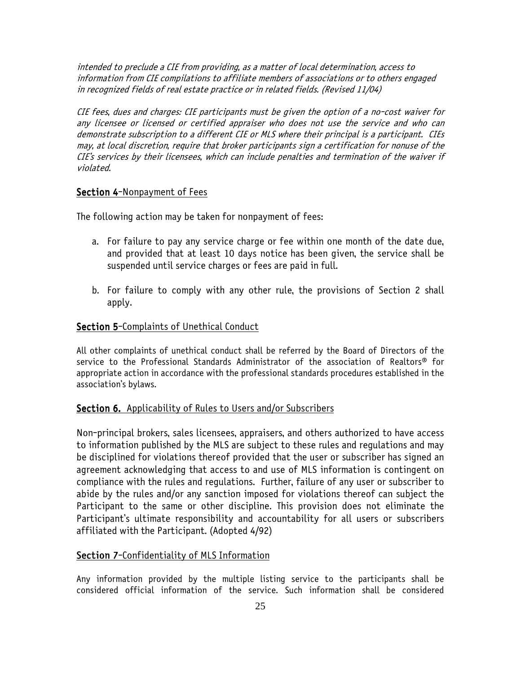intended to preclude a CIE from providing, as a matter of local determination, access to information from CIE compilations to affiliate members of associations or to others engaged in recognized fields of real estate practice or in related fields. (Revised 11/04)

CIE fees, dues and charges: CIE participants must be given the option of a no-cost waiver for any licensee or licensed or certified appraiser who does not use the service and who can demonstrate subscription to a different CIE or MLS where their principal is a participant. CIEs may, at local discretion, require that broker participants sign a certification for nonuse of the CIE's services by their licensees, which can include penalties and termination of the waiver if violated.

#### Section 4-Nonpayment of Fees

The following action may be taken for nonpayment of fees:

- a. For failure to pay any service charge or fee within one month of the date due, and provided that at least 10 days notice has been given, the service shall be suspended until service charges or fees are paid in full.
- b. For failure to comply with any other rule, the provisions of Section 2 shall apply.

#### Section 5-Complaints of Unethical Conduct

All other complaints of unethical conduct shall be referred by the Board of Directors of the service to the Professional Standards Administrator of the association of Realtors® for appropriate action in accordance with the professional standards procedures established in the association's bylaws.

#### Section 6. Applicability of Rules to Users and/or Subscribers

Non-principal brokers, sales licensees, appraisers, and others authorized to have access to information published by the MLS are subject to these rules and regulations and may be disciplined for violations thereof provided that the user or subscriber has signed an agreement acknowledging that access to and use of MLS information is contingent on compliance with the rules and regulations. Further, failure of any user or subscriber to abide by the rules and/or any sanction imposed for violations thereof can subject the Participant to the same or other discipline. This provision does not eliminate the Participant's ultimate responsibility and accountability for all users or subscribers affiliated with the Participant. (Adopted 4/92)

### Section 7-Confidentiality of MLS Information

Any information provided by the multiple listing service to the participants shall be considered official information of the service. Such information shall be considered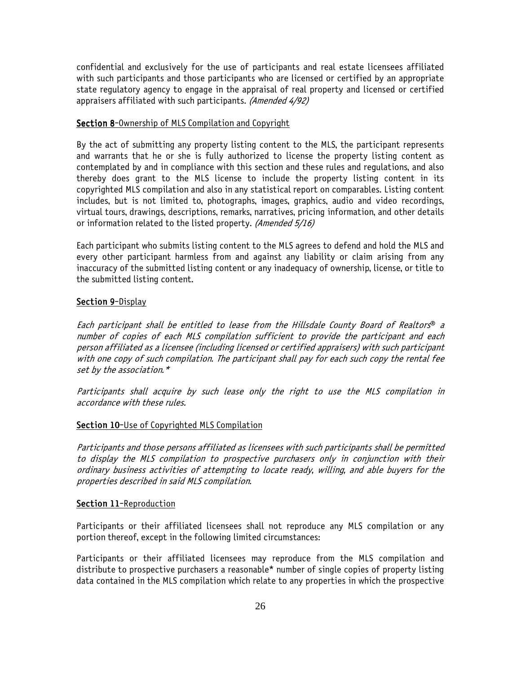confidential and exclusively for the use of participants and real estate licensees affiliated with such participants and those participants who are licensed or certified by an appropriate state regulatory agency to engage in the appraisal of real property and licensed or certified appraisers affiliated with such participants. (Amended 4/92)

#### Section 8-Ownership of MLS Compilation and Copyright

By the act of submitting any property listing content to the MLS, the participant represents and warrants that he or she is fully authorized to license the property listing content as contemplated by and in compliance with this section and these rules and regulations, and also thereby does grant to the MLS license to include the property listing content in its copyrighted MLS compilation and also in any statistical report on comparables. Listing content includes, but is not limited to, photographs, images, graphics, audio and video recordings, virtual tours, drawings, descriptions, remarks, narratives, pricing information, and other details or information related to the listed property. (Amended 5/16)

Each participant who submits listing content to the MLS agrees to defend and hold the MLS and every other participant harmless from and against any liability or claim arising from any inaccuracy of the submitted listing content or any inadequacy of ownership, license, or title to the submitted listing content.

#### Section 9-Display

Each participant shall be entitled to lease from the Hillsdale County Board of Realtors® <sup>a</sup> number of copies of each MLS compilation sufficient to provide the participant and each person affiliated as a licensee (including licensed or certified appraisers) with such participant with one copy of such compilation. The participant shall pay for each such copy the rental fee set by the association.\*

Participants shall acquire by such lease only the right to use the MLS compilation in accordance with these rules.

### Section 10-Use of Copyrighted MLS Compilation

Participants and those persons affiliated as licensees with such participants shall be permitted to display the MLS compilation to prospective purchasers only in conjunction with their ordinary business activities of attempting to locate ready, willing, and able buyers for the properties described in said MLS compilation.

#### Section 11-Reproduction

Participants or their affiliated licensees shall not reproduce any MLS compilation or any portion thereof, except in the following limited circumstances:

Participants or their affiliated licensees may reproduce from the MLS compilation and distribute to prospective purchasers a reasonable\* number of single copies of property listing data contained in the MLS compilation which relate to any properties in which the prospective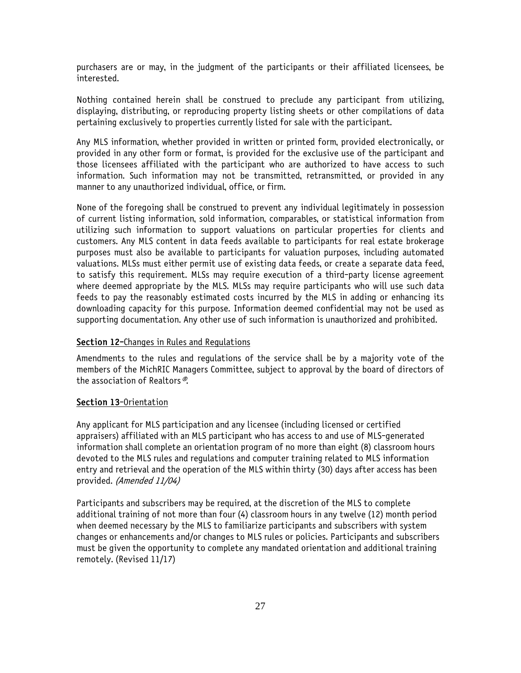purchasers are or may, in the judgment of the participants or their affiliated licensees, be interested.

Nothing contained herein shall be construed to preclude any participant from utilizing, displaying, distributing, or reproducing property listing sheets or other compilations of data pertaining exclusively to properties currently listed for sale with the participant.

Any MLS information, whether provided in written or printed form, provided electronically, or provided in any other form or format, is provided for the exclusive use of the participant and those licensees affiliated with the participant who are authorized to have access to such information. Such information may not be transmitted, retransmitted, or provided in any manner to any unauthorized individual, office, or firm.

None of the foregoing shall be construed to prevent any individual legitimately in possession of current listing information, sold information, comparables, or statistical information from utilizing such information to support valuations on particular properties for clients and customers. Any MLS content in data feeds available to participants for real estate brokerage purposes must also be available to participants for valuation purposes, including automated valuations. MLSs must either permit use of existing data feeds, or create a separate data feed, to satisfy this requirement. MLSs may require execution of a third-party license agreement where deemed appropriate by the MLS. MLSs may require participants who will use such data feeds to pay the reasonably estimated costs incurred by the MLS in adding or enhancing its downloading capacity for this purpose. Information deemed confidential may not be used as supporting documentation. Any other use of such information is unauthorized and prohibited.

#### Section 12-Changes in Rules and Regulations

Amendments to the rules and regulations of the service shall be by a majority vote of the members of the MichRIC Managers Committee, subject to approval by the board of directors of the association of Realtors®.

#### Section 13-Orientation

Any applicant for MLS participation and any licensee (including licensed or certified appraisers) affiliated with an MLS participant who has access to and use of MLS-generated information shall complete an orientation program of no more than eight (8) classroom hours devoted to the MLS rules and regulations and computer training related to MLS information entry and retrieval and the operation of the MLS within thirty (30) days after access has been provided. (Amended 11/04)

Participants and subscribers may be required, at the discretion of the MLS to complete additional training of not more than four (4) classroom hours in any twelve (12) month period when deemed necessary by the MLS to familiarize participants and subscribers with system changes or enhancements and/or changes to MLS rules or policies. Participants and subscribers must be given the opportunity to complete any mandated orientation and additional training remotely. (Revised 11/17)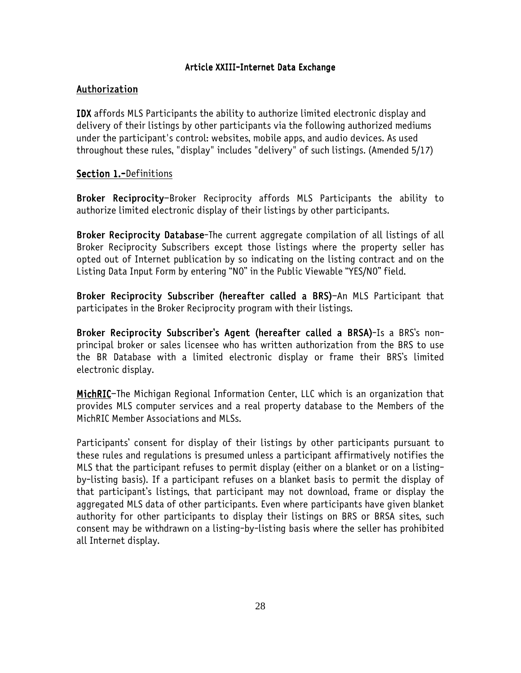### Article XXIII-Internet Data Exchange

# Authorization

IDX affords MLS Participants the ability to authorize limited electronic display and delivery of their listings by other participants via the following authorized mediums under the participant's control: websites, mobile apps, and audio devices. As used throughout these rules, "display" includes "delivery" of such listings. (Amended 5/17)

# Section 1.-Definitions

Broker Reciprocity-Broker Reciprocity affords MLS Participants the ability to authorize limited electronic display of their listings by other participants.

Broker Reciprocity Database-The current aggregate compilation of all listings of all Broker Reciprocity Subscribers except those listings where the property seller has opted out of Internet publication by so indicating on the listing contract and on the Listing Data Input Form by entering "NO" in the Public Viewable "YES/NO" field.

Broker Reciprocity Subscriber (hereafter called a BRS)-An MLS Participant that participates in the Broker Reciprocity program with their listings.

Broker Reciprocity Subscriber's Agent (hereafter called a BRSA)-Is a BRS's nonprincipal broker or sales licensee who has written authorization from the BRS to use the BR Database with a limited electronic display or frame their BRS's limited electronic display.

MichRIC-The Michigan Regional Information Center, LLC which is an organization that provides MLS computer services and a real property database to the Members of the MichRIC Member Associations and MLSs.

Participants' consent for display of their listings by other participants pursuant to these rules and regulations is presumed unless a participant affirmatively notifies the MLS that the participant refuses to permit display (either on a blanket or on a listingby-listing basis). If a participant refuses on a blanket basis to permit the display of that participant's listings, that participant may not download, frame or display the aggregated MLS data of other participants. Even where participants have given blanket authority for other participants to display their listings on BRS or BRSA sites, such consent may be withdrawn on a listing-by-listing basis where the seller has prohibited all Internet display.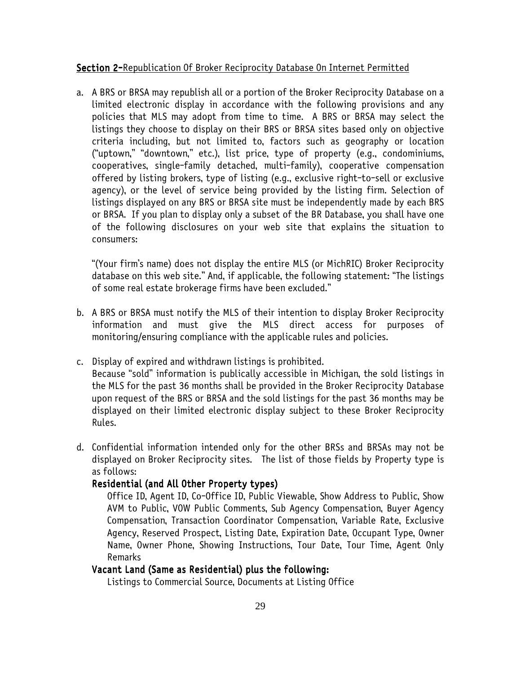#### **Section 2-Republication Of Broker Reciprocity Database On Internet Permitted**

a. A BRS or BRSA may republish all or a portion of the Broker Reciprocity Database on a limited electronic display in accordance with the following provisions and any policies that MLS may adopt from time to time. A BRS or BRSA may select the listings they choose to display on their BRS or BRSA sites based only on objective criteria including, but not limited to, factors such as geography or location ("uptown," "downtown," etc.), list price, type of property (e.g., condominiums, cooperatives, single-family detached, multi-family), cooperative compensation offered by listing brokers, type of listing (e.g., exclusive right-to-sell or exclusive agency), or the level of service being provided by the listing firm. Selection of listings displayed on any BRS or BRSA site must be independently made by each BRS or BRSA. If you plan to display only a subset of the BR Database, you shall have one of the following disclosures on your web site that explains the situation to consumers:

"(Your firm's name) does not display the entire MLS (or MichRIC) Broker Reciprocity database on this web site." And, if applicable, the following statement: "The listings of some real estate brokerage firms have been excluded."

- b. A BRS or BRSA must notify the MLS of their intention to display Broker Reciprocity information and must give the MLS direct access for purposes of monitoring/ensuring compliance with the applicable rules and policies.
- c. Display of expired and withdrawn listings is prohibited. Because "sold" information is publically accessible in Michigan, the sold listings in the MLS for the past 36 months shall be provided in the Broker Reciprocity Database upon request of the BRS or BRSA and the sold listings for the past 36 months may be displayed on their limited electronic display subject to these Broker Reciprocity Rules.
- d. Confidential information intended only for the other BRSs and BRSAs may not be displayed on Broker Reciprocity sites. The list of those fields by Property type is as follows:

# Residential (and All Other Property types)

Office ID, Agent ID, Co-Office ID, Public Viewable, Show Address to Public, Show AVM to Public, VOW Public Comments, Sub Agency Compensation, Buyer Agency Compensation, Transaction Coordinator Compensation, Variable Rate, Exclusive Agency, Reserved Prospect, Listing Date, Expiration Date, Occupant Type, Owner Name, Owner Phone, Showing Instructions, Tour Date, Tour Time, Agent Only Remarks

### Vacant Land (Same as Residential) plus the following:

Listings to Commercial Source, Documents at Listing Office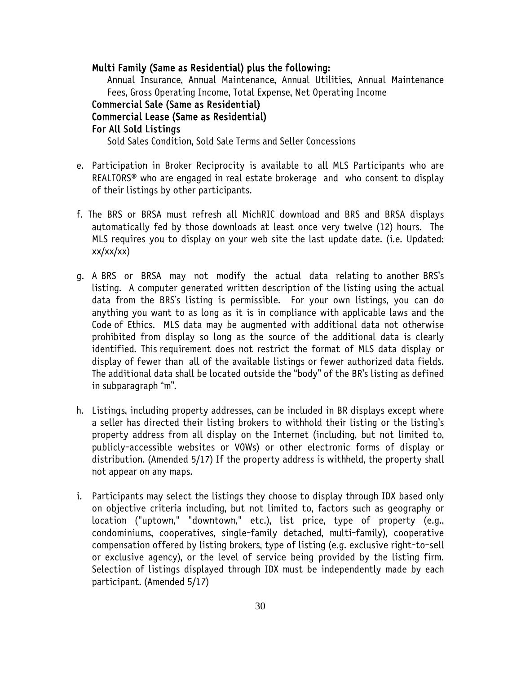#### Multi Family (Same as Residential) plus the following:

Annual Insurance, Annual Maintenance, Annual Utilities, Annual Maintenance Fees, Gross Operating Income, Total Expense, Net Operating Income

### Commercial Sale (Same as Residential) Commercial Lease (Same as Residential)

# For All Sold Listings

Sold Sales Condition, Sold Sale Terms and Seller Concessions

- e. Participation in Broker Reciprocity is available to all MLS Participants who are REALTORS® who are engaged in real estate brokerage and who consent to display of their listings by other participants.
- f. The BRS or BRSA must refresh all MichRIC download and BRS and BRSA displays automatically fed by those downloads at least once very twelve (12) hours. The MLS requires you to display on your web site the last update date. (i.e. Updated:  $xx/xx/xx)$
- g. A BRS or BRSA may not modify the actual data relating to another BRS's listing. A computer generated written description of the listing using the actual data from the BRS's listing is permissible. For your own listings, you can do anything you want to as long as it is in compliance with applicable laws and the Code of Ethics. MLS data may be augmented with additional data not otherwise prohibited from display so long as the source of the additional data is clearly identified. This requirement does not restrict the format of MLS data display or display of fewer than all of the available listings or fewer authorized data fields. The additional data shall be located outside the "body" of the BR's listing as defined in subparagraph "m".
- h. Listings, including property addresses, can be included in BR displays except where a seller has directed their listing brokers to withhold their listing or the listing's property address from all display on the Internet (including, but not limited to, publicly-accessible websites or VOWs) or other electronic forms of display or distribution. (Amended 5/17) If the property address is withheld, the property shall not appear on any maps.
- i. Participants may select the listings they choose to display through IDX based only on objective criteria including, but not limited to, factors such as geography or location ("uptown," "downtown," etc.), list price, type of property (e.g., condominiums, cooperatives, single-family detached, multi-family), cooperative compensation offered by listing brokers, type of listing (e.g. exclusive right-to-sell or exclusive agency), or the level of service being provided by the listing firm. Selection of listings displayed through IDX must be independently made by each participant. (Amended 5/17)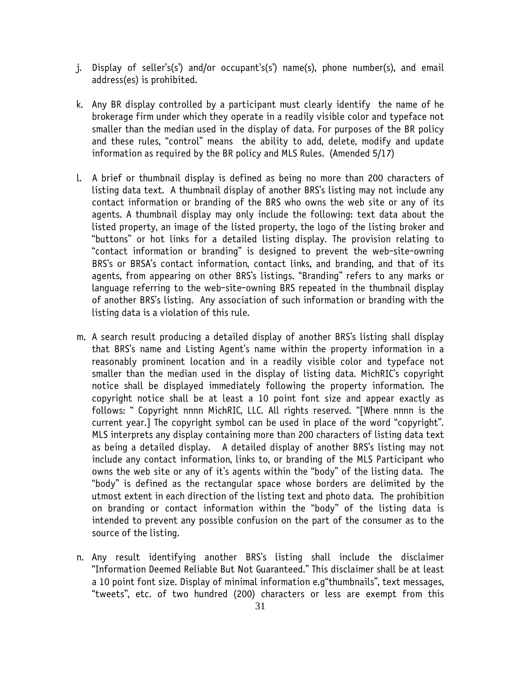- j. Display of seller's(s') and/or occupant's(s') name(s), phone number(s), and email address(es) is prohibited.
- k. Any BR display controlled by a participant must clearly identify the name of he brokerage firm under which they operate in a readily visible color and typeface not smaller than the median used in the display of data. For purposes of the BR policy and these rules, "control" means the ability to add, delete, modify and update information as required by the BR policy and MLS Rules. (Amended 5/17)
- l. A brief or thumbnail display is defined as being no more than 200 characters of listing data text. A thumbnail display of another BRS's listing may not include any contact information or branding of the BRS who owns the web site or any of its agents. A thumbnail display may only include the following: text data about the listed property, an image of the listed property, the logo of the listing broker and "buttons" or hot links for a detailed listing display. The provision relating to "contact information or branding" is designed to prevent the web-site-owning BRS's or BRSA's contact information, contact links, and branding, and that of its agents, from appearing on other BRS's listings. "Branding" refers to any marks or language referring to the web-site-owning BRS repeated in the thumbnail display of another BRS's listing. Any association of such information or branding with the listing data is a violation of this rule.
- m. A search result producing a detailed display of another BRS's listing shall display that BRS's name and Listing Agent's name within the property information in a reasonably prominent location and in a readily visible color and typeface not smaller than the median used in the display of listing data. MichRIC's copyright notice shall be displayed immediately following the property information. The copyright notice shall be at least a 10 point font size and appear exactly as follows: " Copyright nnnn MichRIC, LLC. All rights reserved. "[Where nnnn is the current year.] The copyright symbol can be used in place of the word "copyright". MLS interprets any display containing more than 200 characters of listing data text as being a detailed display. A detailed display of another BRS's listing may not include any contact information, links to, or branding of the MLS Participant who owns the web site or any of it's agents within the "body" of the listing data. The "body" is defined as the rectangular space whose borders are delimited by the utmost extent in each direction of the listing text and photo data. The prohibition on branding or contact information within the "body" of the listing data is intended to prevent any possible confusion on the part of the consumer as to the source of the listing.
- n. Any result identifying another BRS's listing shall include the disclaimer "Information Deemed Reliable But Not Guaranteed." This disclaimer shall be at least a 10 point font size. Display of minimal information e.g"thumbnails", text messages, "tweets", etc. of two hundred (200) characters or less are exempt from this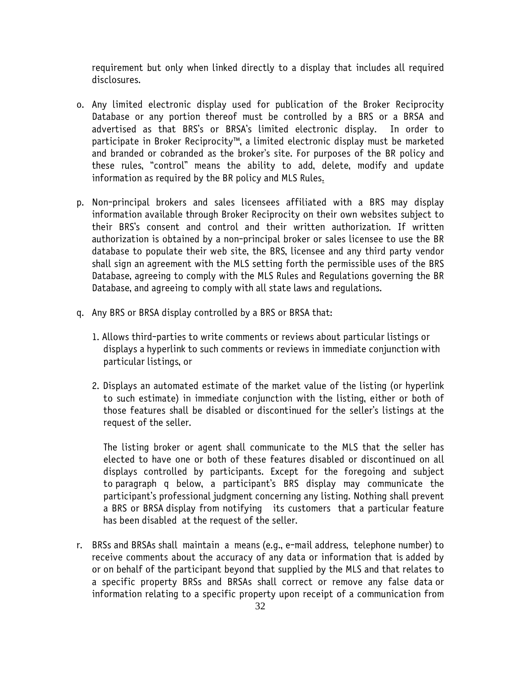requirement but only when linked directly to a display that includes all required disclosures.

- o. Any limited electronic display used for publication of the Broker Reciprocity Database or any portion thereof must be controlled by a BRS or a BRSA and advertised as that BRS's or BRSA's limited electronic display. In order to participate in Broker Reciprocity™, a limited electronic display must be marketed and branded or cobranded as the broker's site. For purposes of the BR policy and these rules, "control" means the ability to add, delete, modify and update information as required by the BR policy and MLS Rules.
- p. Non-principal brokers and sales licensees affiliated with a BRS may display information available through Broker Reciprocity on their own websites subject to their BRS's consent and control and their written authorization. If written authorization is obtained by a non-principal broker or sales licensee to use the BR database to populate their web site, the BRS, licensee and any third party vendor shall sign an agreement with the MLS setting forth the permissible uses of the BRS Database, agreeing to comply with the MLS Rules and Regulations governing the BR Database, and agreeing to comply with all state laws and regulations.
- q. Any BRS or BRSA display controlled by a BRS or BRSA that:
	- 1. Allows third-parties to write comments or reviews about particular listings or displays a hyperlink to such comments or reviews in immediate conjunction with particular listings, or
	- 2. Displays an automated estimate of the market value of the listing (or hyperlink to such estimate) in immediate conjunction with the listing, either or both of those features shall be disabled or discontinued for the seller's listings at the request of the seller.

The listing broker or agent shall communicate to the MLS that the seller has elected to have one or both of these features disabled or discontinued on all displays controlled by participants. Except for the foregoing and subject to paragraph q below, a participant's BRS display may communicate the participant's professional judgment concerning any listing. Nothing shall prevent a BRS or BRSA display from notifying its customers that a particular feature has been disabled at the request of the seller.

r. BRSs and BRSAs shall maintain a means (e.g., e-mail address, telephone number) to receive comments about the accuracy of any data or information that is added by or on behalf of the participant beyond that supplied by the MLS and that relates to a specific property BRSs and BRSAs shall correct or remove any false data or information relating to a specific property upon receipt of a communication from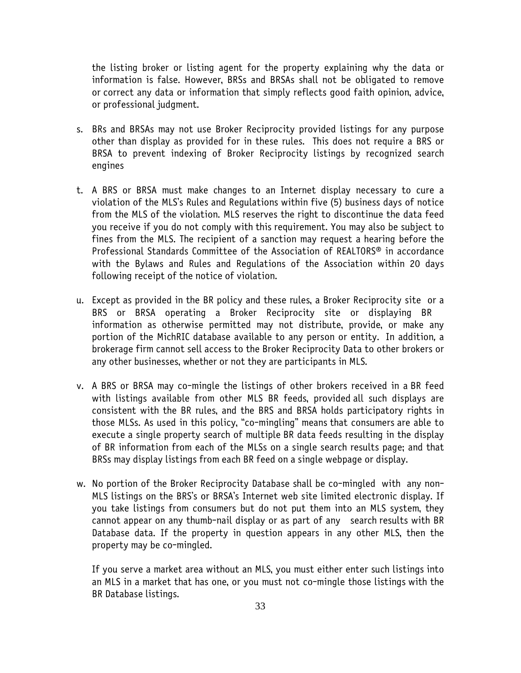the listing broker or listing agent for the property explaining why the data or information is false. However, BRSs and BRSAs shall not be obligated to remove or correct any data or information that simply reflects good faith opinion, advice, or professional judgment.

- s. BRs and BRSAs may not use Broker Reciprocity provided listings for any purpose other than display as provided for in these rules. This does not require a BRS or BRSA to prevent indexing of Broker Reciprocity listings by recognized search engines
- t. A BRS or BRSA must make changes to an Internet display necessary to cure a violation of the MLS's Rules and Regulations within five (5) business days of notice from the MLS of the violation. MLS reserves the right to discontinue the data feed you receive if you do not comply with this requirement. You may also be subject to fines from the MLS. The recipient of a sanction may request a hearing before the Professional Standards Committee of the Association of REALTORS® in accordance with the Bylaws and Rules and Regulations of the Association within 20 days following receipt of the notice of violation.
- u. Except as provided in the BR policy and these rules, a Broker Reciprocity site or a BRS or BRSA operating a Broker Reciprocity site or displaying BR information as otherwise permitted may not distribute, provide, or make any portion of the MichRIC database available to any person or entity. In addition, a brokerage firm cannot sell access to the Broker Reciprocity Data to other brokers or any other businesses, whether or not they are participants in MLS.
- v. A BRS or BRSA may co-mingle the listings of other brokers received in a BR feed with listings available from other MLS BR feeds, provided all such displays are consistent with the BR rules, and the BRS and BRSA holds participatory rights in those MLSs. As used in this policy, "co-mingling" means that consumers are able to execute a single property search of multiple BR data feeds resulting in the display of BR information from each of the MLSs on a single search results page; and that BRSs may display listings from each BR feed on a single webpage or display.
- w. No portion of the Broker Reciprocity Database shall be co-mingled with any non-MLS listings on the BRS's or BRSA's Internet web site limited electronic display. If you take listings from consumers but do not put them into an MLS system, they cannot appear on any thumb-nail display or as part of any search results with BR Database data. If the property in question appears in any other MLS, then the property may be co-mingled.

If you serve a market area without an MLS, you must either enter such listings into an MLS in a market that has one, or you must not co-mingle those listings with the BR Database listings.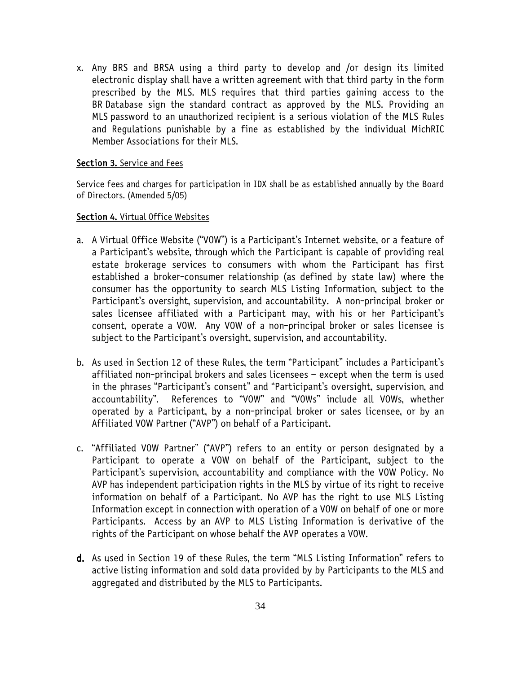x. Any BRS and BRSA using a third party to develop and /or design its limited electronic display shall have a written agreement with that third party in the form prescribed by the MLS. MLS requires that third parties gaining access to the BR Database sign the standard contract as approved by the MLS. Providing an MLS password to an unauthorized recipient is a serious violation of the MLS Rules and Regulations punishable by a fine as established by the individual MichRIC Member Associations for their MLS.

#### Section 3. Service and Fees

Service fees and charges for participation in IDX shall be as established annually by the Board of Directors. (Amended 5/05)

#### Section 4. Virtual Office Websites

- a. A Virtual Office Website ("VOW") is a Participant's Internet website, or a feature of a Participant's website, through which the Participant is capable of providing real estate brokerage services to consumers with whom the Participant has first established a broker-consumer relationship (as defined by state law) where the consumer has the opportunity to search MLS Listing Information, subject to the Participant's oversight, supervision, and accountability. A non-principal broker or sales licensee affiliated with a Participant may, with his or her Participant's consent, operate a VOW. Any VOW of a non-principal broker or sales licensee is subject to the Participant's oversight, supervision, and accountability.
- b. As used in Section 12 of these Rules, the term "Participant" includes a Participant's affiliated non-principal brokers and sales licensees – except when the term is used in the phrases "Participant's consent" and "Participant's oversight, supervision, and accountability". References to "VOW" and "VOWs" include all VOWs, whether operated by a Participant, by a non-principal broker or sales licensee, or by an Affiliated VOW Partner ("AVP") on behalf of a Participant.
- c. "Affiliated VOW Partner" ("AVP") refers to an entity or person designated by a Participant to operate a VOW on behalf of the Participant, subject to the Participant's supervision, accountability and compliance with the VOW Policy. No AVP has independent participation rights in the MLS by virtue of its right to receive information on behalf of a Participant. No AVP has the right to use MLS Listing Information except in connection with operation of a VOW on behalf of one or more Participants. Access by an AVP to MLS Listing Information is derivative of the rights of the Participant on whose behalf the AVP operates a VOW.
- d. As used in Section 19 of these Rules, the term "MLS Listing Information" refers to active listing information and sold data provided by by Participants to the MLS and aggregated and distributed by the MLS to Participants.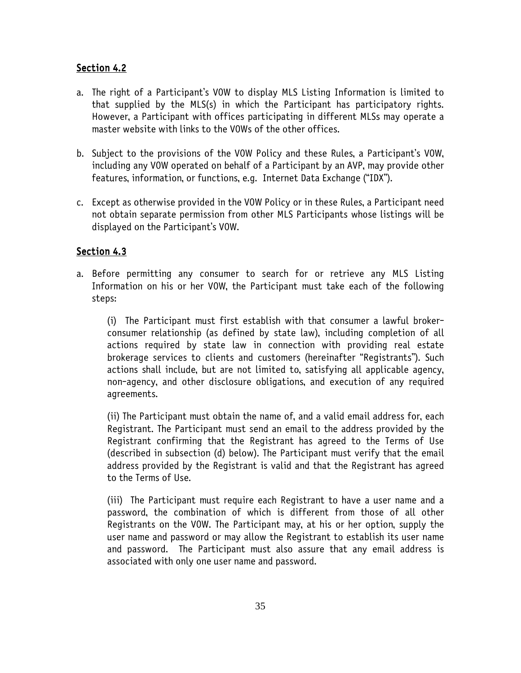# Section 4.2

- a. The right of a Participant's VOW to display MLS Listing Information is limited to that supplied by the MLS(s) in which the Participant has participatory rights. However, a Participant with offices participating in different MLSs may operate a master website with links to the VOWs of the other offices.
- b. Subject to the provisions of the VOW Policy and these Rules, a Participant's VOW, including any VOW operated on behalf of a Participant by an AVP, may provide other features, information, or functions, e.g. Internet Data Exchange ("IDX").
- c. Except as otherwise provided in the VOW Policy or in these Rules, a Participant need not obtain separate permission from other MLS Participants whose listings will be displayed on the Participant's VOW.

# Section 4.3

a. Before permitting any consumer to search for or retrieve any MLS Listing Information on his or her VOW, the Participant must take each of the following steps:

(i) The Participant must first establish with that consumer a lawful brokerconsumer relationship (as defined by state law), including completion of all actions required by state law in connection with providing real estate brokerage services to clients and customers (hereinafter "Registrants"). Such actions shall include, but are not limited to, satisfying all applicable agency, non-agency, and other disclosure obligations, and execution of any required agreements.

(ii) The Participant must obtain the name of, and a valid email address for, each Registrant. The Participant must send an email to the address provided by the Registrant confirming that the Registrant has agreed to the Terms of Use (described in subsection (d) below). The Participant must verify that the email address provided by the Registrant is valid and that the Registrant has agreed to the Terms of Use.

(iii) The Participant must require each Registrant to have a user name and a password, the combination of which is different from those of all other Registrants on the VOW. The Participant may, at his or her option, supply the user name and password or may allow the Registrant to establish its user name and password. The Participant must also assure that any email address is associated with only one user name and password.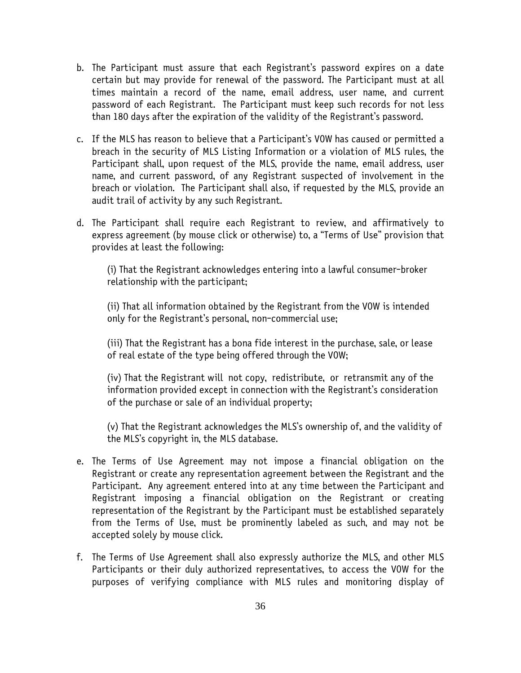- b. The Participant must assure that each Registrant's password expires on a date certain but may provide for renewal of the password. The Participant must at all times maintain a record of the name, email address, user name, and current password of each Registrant. The Participant must keep such records for not less than 180 days after the expiration of the validity of the Registrant's password.
- c. If the MLS has reason to believe that a Participant's VOW has caused or permitted a breach in the security of MLS Listing Information or a violation of MLS rules, the Participant shall, upon request of the MLS, provide the name, email address, user name, and current password, of any Registrant suspected of involvement in the breach or violation. The Participant shall also, if requested by the MLS, provide an audit trail of activity by any such Registrant.
- d. The Participant shall require each Registrant to review, and affirmatively to express agreement (by mouse click or otherwise) to, a "Terms of Use" provision that provides at least the following:

(i) That the Registrant acknowledges entering into a lawful consumer-broker relationship with the participant;

(ii) That all information obtained by the Registrant from the VOW is intended only for the Registrant's personal, non-commercial use;

(iii) That the Registrant has a bona fide interest in the purchase, sale, or lease of real estate of the type being offered through the VOW;

(iv) That the Registrant will not copy, redistribute, or retransmit any of the information provided except in connection with the Registrant's consideration of the purchase or sale of an individual property;

(v) That the Registrant acknowledges the MLS's ownership of, and the validity of the MLS's copyright in, the MLS database.

- e. The Terms of Use Agreement may not impose a financial obligation on the Registrant or create any representation agreement between the Registrant and the Participant. Any agreement entered into at any time between the Participant and Registrant imposing a financial obligation on the Registrant or creating representation of the Registrant by the Participant must be established separately from the Terms of Use, must be prominently labeled as such, and may not be accepted solely by mouse click.
- f. The Terms of Use Agreement shall also expressly authorize the MLS, and other MLS Participants or their duly authorized representatives, to access the VOW for the purposes of verifying compliance with MLS rules and monitoring display of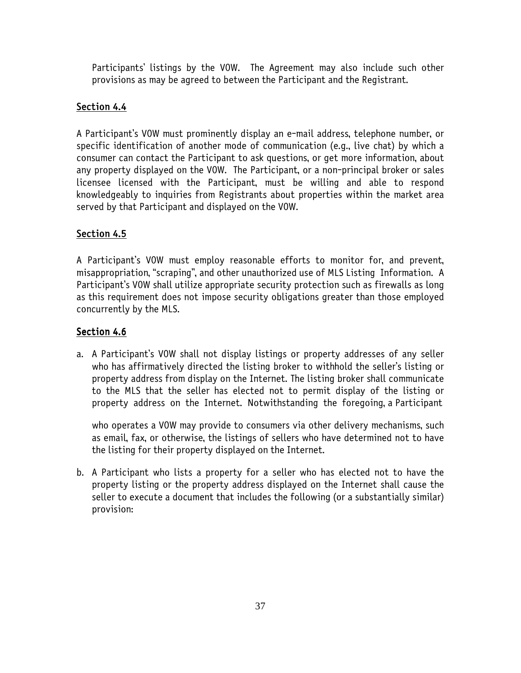Participants' listings by the VOW. The Agreement may also include such other provisions as may be agreed to between the Participant and the Registrant.

# Section 4.4

A Participant's VOW must prominently display an e-mail address, telephone number, or specific identification of another mode of communication (e.g., live chat) by which a consumer can contact the Participant to ask questions, or get more information, about any property displayed on the VOW. The Participant, or a non-principal broker or sales licensee licensed with the Participant, must be willing and able to respond knowledgeably to inquiries from Registrants about properties within the market area served by that Participant and displayed on the VOW.

# Section 4.5

A Participant's VOW must employ reasonable efforts to monitor for, and prevent, misappropriation, "scraping", and other unauthorized use of MLS Listing Information. A Participant's VOW shall utilize appropriate security protection such as firewalls as long as this requirement does not impose security obligations greater than those employed concurrently by the MLS.

# Section 4.6

a. A Participant's VOW shall not display listings or property addresses of any seller who has affirmatively directed the listing broker to withhold the seller's listing or property address from display on the Internet. The listing broker shall communicate to the MLS that the seller has elected not to permit display of the listing or property address on the Internet. Notwithstanding the foregoing, a Participant

who operates a VOW may provide to consumers via other delivery mechanisms, such as email, fax, or otherwise, the listings of sellers who have determined not to have the listing for their property displayed on the Internet.

b. A Participant who lists a property for a seller who has elected not to have the property listing or the property address displayed on the Internet shall cause the seller to execute a document that includes the following (or a substantially similar) provision: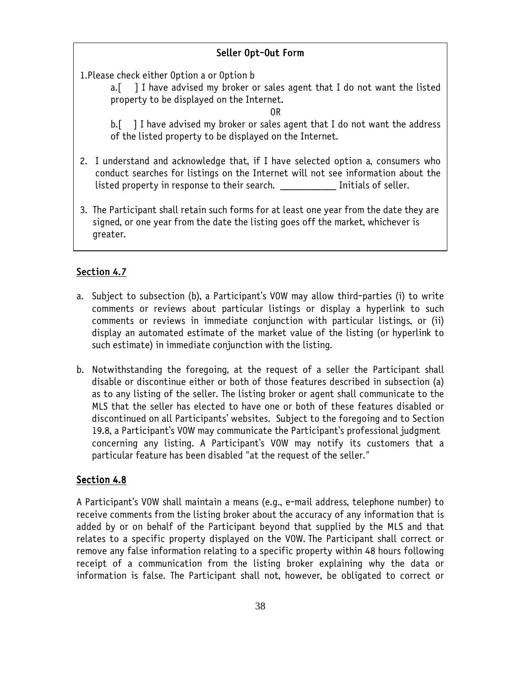# Seller Opt-Out Form

1.Please check either Option a or Option b

a.[ ] I have advised my broker or sales agent that I do not want the listed property to be displayed on the Internet.

OR

b. [ ] I have advised my broker or sales agent that I do not want the address of the listed property to be displayed on the Internet.

- 2. I understand and acknowledge that, if I have selected option a, consumers who conduct searches for listings on the Internet will not see information about the listed property in response to their search. Thitials of seller.
- 3. The Participant shall retain such forms for at least one year from the date they are signed, or one year from the date the listing goes off the market, whichever is greater.

# Section 4.7

- a. Subject to subsection (b), a Participant's VOW may allow third-parties (i) to write comments or reviews about particular listings or display a hyperlink to such comments or reviews in immediate conjunction with particular listings, or (ii) display an automated estimate of the market value of the listing (or hyperlink to such estimate) in immediate conjunction with the listing.
- b. Notwithstanding the foregoing, at the request of a seller the Participant shall disable or discontinue either or both of those features described in subsection (a) as to any listing of the seller. The listing broker or agent shall communicate to the MLS that the seller has elected to have one or both of these features disabled or discontinued on all Participants' websites. Subject to the foregoing and to Section 19.8, a Participant's VOW may communicate the Participant's professional judgment concerning any listing. A Participant's VOW may notify its customers that a particular feature has been disabled "at the request of the seller."

# Section 4.8

A Participant's VOW shall maintain a means (e.g., e-mail address, telephone number) to receive comments from the listing broker about the accuracy of any information that is added by or on behalf of the Participant beyond that supplied by the MLS and that relates to a specific property displayed on the VOW. The Participant shall correct or remove any false information relating to a specific property within 48 hours following receipt of a communication from the listing broker explaining why the data or information is false. The Participant shall not, however, be obligated to correct or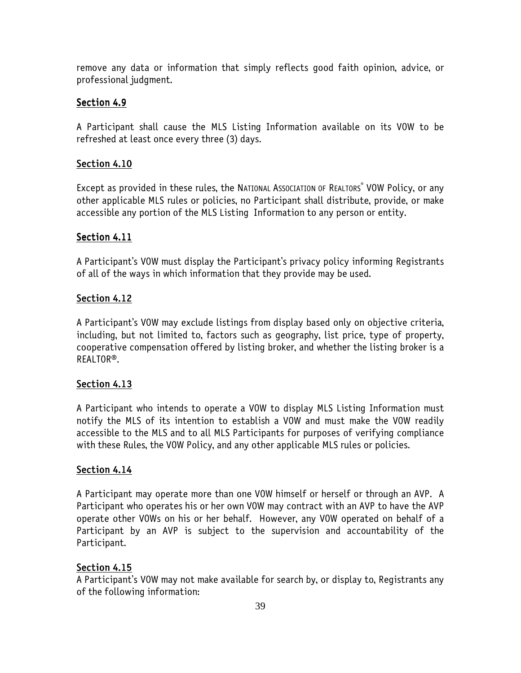remove any data or information that simply reflects good faith opinion, advice, or professional judgment.

# Section 4.9

A Participant shall cause the MLS Listing Information available on its VOW to be refreshed at least once every three (3) days.

# Section 4.10

Except as provided in these rules, the NATIONAL AssocIATION OF REALTORS® VOW Policy, or any other applicable MLS rules or policies, no Participant shall distribute, provide, or make accessible any portion of the MLS Listing Information to any person or entity.

# Section 4.11

A Participant's VOW must display the Participant's privacy policy informing Registrants of all of the ways in which information that they provide may be used.

# Section 4.12

A Participant's VOW may exclude listings from display based only on objective criteria, including, but not limited to, factors such as geography, list price, type of property, cooperative compensation offered by listing broker, and whether the listing broker is a REALTOR®.

# Section 4.13

A Participant who intends to operate a VOW to display MLS Listing Information must notify the MLS of its intention to establish a VOW and must make the VOW readily accessible to the MLS and to all MLS Participants for purposes of verifying compliance with these Rules, the VOW Policy, and any other applicable MLS rules or policies.

# Section 4.14

A Participant may operate more than one VOW himself or herself or through an AVP. A Participant who operates his or her own VOW may contract with an AVP to have the AVP operate other VOWs on his or her behalf. However, any VOW operated on behalf of a Participant by an AVP is subject to the supervision and accountability of the Participant.

# Section 4.15

A Participant's VOW may not make available for search by, or display to, Registrants any of the following information: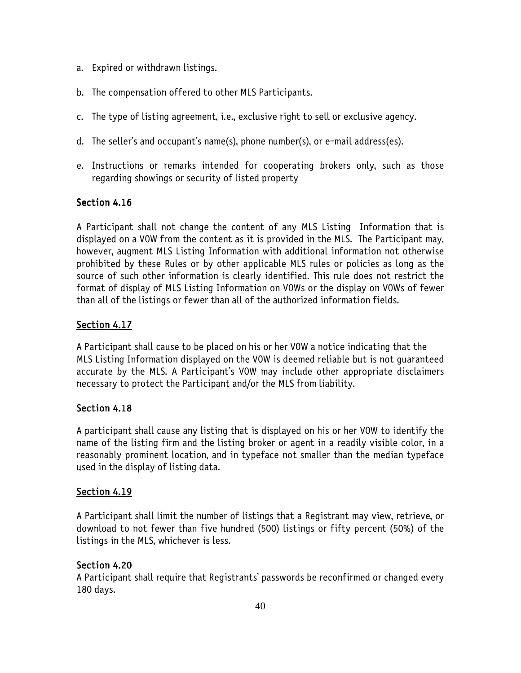- a. Expired or withdrawn listings.
- b. The compensation offered to other MLS Participants.
- c. The type of listing agreement, i.e., exclusive right to sell or exclusive agency.
- d. The seller's and occupant's name(s), phone number(s), or e-mail address(es).
- e. Instructions or remarks intended for cooperating brokers only, such as those regarding showings or security of listed property

# Section 4.16

A Participant shall not change the content of any MLS Listing Information that is displayed on a VOW from the content as it is provided in the MLS. The Participant may, however, augment MLS Listing Information with additional information not otherwise prohibited by these Rules or by other applicable MLS rules or policies as long as the source of such other information is clearly identified. This rule does not restrict the format of display of MLS Listing Information on VOWs or the display on VOWs of fewer than all of the listings or fewer than all of the authorized information fields.

# Section 4.17

A Participant shall cause to be placed on his or her VOW a notice indicating that the MLS Listing Information displayed on the VOW is deemed reliable but is not guaranteed accurate by the MLS. A Participant's VOW may include other appropriate disclaimers necessary to protect the Participant and/or the MLS from liability.

# Section 4.18

A participant shall cause any listing that is displayed on his or her VOW to identify the name of the listing firm and the listing broker or agent in a readily visible color, in a reasonably prominent location, and in typeface not smaller than the median typeface used in the display of listing data.

# Section 4.19

A Participant shall limit the number of listings that a Registrant may view, retrieve, or download to not fewer than five hundred (500) listings or fifty percent (50%) of the listings in the MLS, whichever is less.

# Section 4.20

A Participant shall require that Registrants' passwords be reconfirmed or changed every 180 days.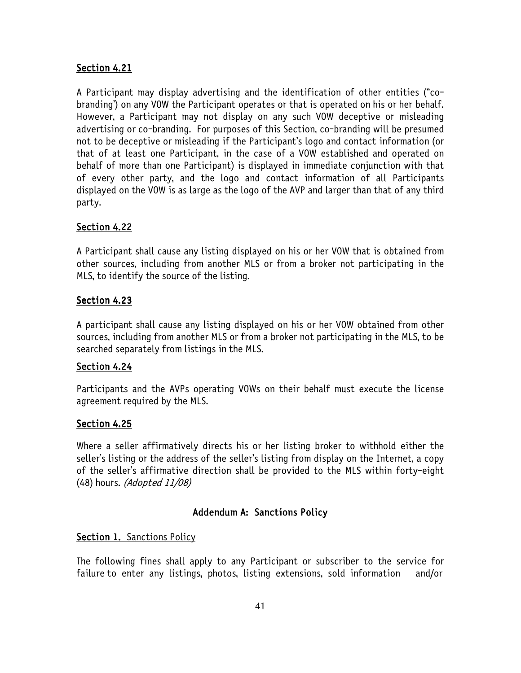# Section 4.21

A Participant may display advertising and the identification of other entities ("cobranding') on any VOW the Participant operates or that is operated on his or her behalf. However, a Participant may not display on any such VOW deceptive or misleading advertising or co-branding. For purposes of this Section, co-branding will be presumed not to be deceptive or misleading if the Participant's logo and contact information (or that of at least one Participant, in the case of a VOW established and operated on behalf of more than one Participant) is displayed in immediate conjunction with that of every other party, and the logo and contact information of all Participants displayed on the VOW is as large as the logo of the AVP and larger than that of any third party.

# Section 4.22

A Participant shall cause any listing displayed on his or her VOW that is obtained from other sources, including from another MLS or from a broker not participating in the MLS, to identify the source of the listing.

# Section 4.23

A participant shall cause any listing displayed on his or her VOW obtained from other sources, including from another MLS or from a broker not participating in the MLS, to be searched separately from listings in the MLS.

# Section 4.24

Participants and the AVPs operating VOWs on their behalf must execute the license agreement required by the MLS.

# Section 4.25

Where a seller affirmatively directs his or her listing broker to withhold either the seller's listing or the address of the seller's listing from display on the Internet, a copy of the seller's affirmative direction shall be provided to the MLS within forty-eight (48) hours. (Adopted 11/08)

# Addendum A: Sanctions Policy

# Section 1. Sanctions Policy

The following fines shall apply to any Participant or subscriber to the service for failure to enter any listings, photos, listing extensions, sold information and/or